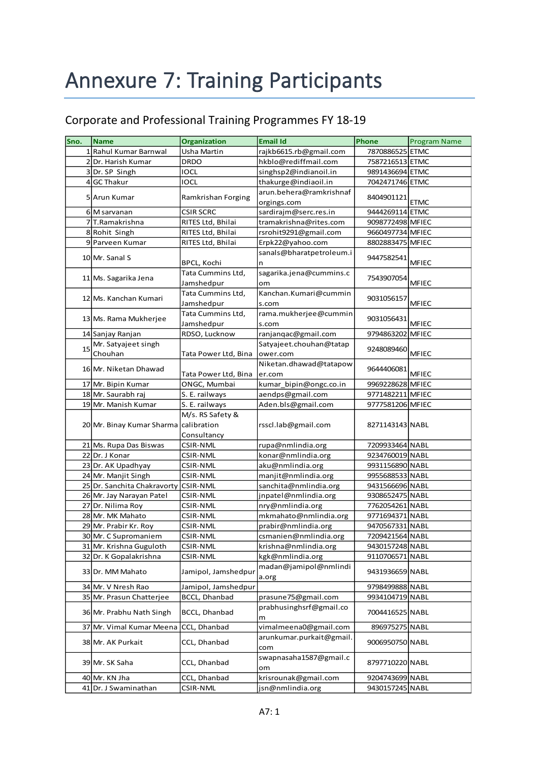# Annexure 7: Training Participants

### Corporate and Professional Training Programmes FY 18-19

| Sno. | <b>Name</b>                           | <b>Organization</b>  | <b>Email Id</b>          | <b>Phone</b>     | <b>Program Name</b> |
|------|---------------------------------------|----------------------|--------------------------|------------------|---------------------|
|      | 1 Rahul Kumar Barnwal                 | Usha Martin          | rajkb6615.rb@gmail.com   | 7870886525 ETMC  |                     |
|      | 2Dr. Harish Kumar                     | <b>DRDO</b>          | hkblo@rediffmail.com     | 7587216513 ETMC  |                     |
|      | 3 Dr. SP Singh                        | iocl                 | singhsp2@indianoil.in    | 9891436694 ETMC  |                     |
|      | 4 GC Thakur                           | <b>IOCL</b>          | thakurge@indiaoil.in     | 7042471746 ETMC  |                     |
|      |                                       |                      | arun.behera@ramkrishnaf  |                  |                     |
|      | 5 Arun Kumar                          | Ramkrishan Forging   | orgings.com              | 8404901121       | <b>ETMC</b>         |
|      | 6 M sarvanan                          | <b>CSIR SCRC</b>     | sardirajm@serc.res.in    | 9444269114 ETMC  |                     |
|      | 7T.Ramakrishna                        | RITES Ltd, Bhilai    | tramakrishna@rites.com   | 9098772498 MFIEC |                     |
|      | 8 Rohit Singh                         | RITES Ltd, Bhilai    | rsrohit9291@gmail.com    | 9660497734 MFIEC |                     |
|      | 9 Parveen Kumar                       | RITES Ltd, Bhilai    | Erpk22@yahoo.com         | 8802883475 MFIEC |                     |
|      |                                       |                      | sanals@bharatpetroleum.i |                  |                     |
|      | 10 Mr. Sanal S                        | BPCL, Kochi          | n                        | 9447582541       | <b>MFIEC</b>        |
|      |                                       | Tata Cummins Ltd,    | sagarika.jena@cummins.c  |                  |                     |
|      | 11 Ms. Sagarika Jena                  | Jamshedpur           | om                       | 7543907054       | <b>MFIEC</b>        |
|      |                                       | Tata Cummins Ltd,    | Kanchan.Kumari@cummin    |                  |                     |
|      | 12 Ms. Kanchan Kumari                 | Jamshedpur           | s.com                    | 9031056157       | <b>MFIEC</b>        |
|      |                                       | Tata Cummins Ltd,    | rama.mukherjee@cummin    |                  |                     |
|      | 13 Ms. Rama Mukherjee                 | Jamshedpur           | s.com                    | 9031056431       | <b>MFIEC</b>        |
|      | 14 Sanjay Ranjan                      | RDSO, Lucknow        | ranjanqac@gmail.com      | 9794863202 MFIEC |                     |
|      | Mr. Satyajeet singh                   |                      | Satyajeet.chouhan@tatap  |                  |                     |
| 15   | Chouhan                               | Tata Power Ltd, Bina | ower.com                 | 9248089460       | <b>MFIEC</b>        |
|      |                                       |                      | Niketan.dhawad@tatapow   |                  |                     |
|      | 16 Mr. Niketan Dhawad                 | Tata Power Ltd, Bina | er.com                   | 9644406081       | <b>MFIEC</b>        |
|      | 17 Mr. Bipin Kumar                    | ONGC, Mumbai         | kumar_bipin@ongc.co.in   | 9969228628 MFIEC |                     |
|      | 18 Mr. Saurabh raj                    | S. E. railways       | aendps@gmail.com         | 9771482211 MFIEC |                     |
|      | 19 Mr. Manish Kumar                   | S. E. railways       | Aden.bls@gmail.com       | 9777581206 MFIEC |                     |
|      |                                       | M/s. RS Safety &     |                          |                  |                     |
|      | 20 Mr. Binay Kumar Sharma calibration |                      | rsscl.lab@gmail.com      | 8271143143 NABL  |                     |
|      |                                       | Consultancy          |                          |                  |                     |
|      | 21 Ms. Rupa Das Biswas                | <b>CSIR-NML</b>      | rupa@nmlindia.org        | 7209933464 NABL  |                     |
|      | 22 Dr. J Konar                        | CSIR-NML             | konar@nmlindia.org       | 9234760019 NABL  |                     |
|      | 23 Dr. AK Upadhyay                    | CSIR-NML             | aku@nmlindia.org         | 9931156890 NABL  |                     |
|      | 24 Mr. Manjit Singh                   | CSIR-NML             | manjit@nmlindia.org      | 9955688533 NABL  |                     |
|      | 25 Dr. Sanchita Chakravorty           | <b>CSIR-NML</b>      | sanchita@nmlindia.org    | 9431566696 NABL  |                     |
|      | 26 Mr. Jay Narayan Patel              | <b>CSIR-NML</b>      | jnpatel@nmlindia.org     | 9308652475 NABL  |                     |
|      | 27 Dr. Nilima Roy                     | CSIR-NML             | nry@nmlindia.org         | 7762054261 NABL  |                     |
|      | 28 Mr. MK Mahato                      | <b>CSIR-NML</b>      | mkmahato@nmlindia.org    | 9771694371 NABL  |                     |
|      | 29 Mr. Prabir Kr. Roy                 | CSIR-NML             | prabir@nmlindia.org      | 9470567331 NABL  |                     |
|      | 30 Mr. C Supromaniem                  | <b>CSIR-NML</b>      | csmanien@nmlindia.org    | 7209421564 NABL  |                     |
|      | 31 Mr. Krishna Guguloth               | <b>CSIR-NML</b>      | krishna@nmlindia.org     | 9430157248 NABL  |                     |
|      | 32 Dr. K Gopalakrishna                | CSIR-NML             | kgk@nmlindia.org         | 9110706571 NABL  |                     |
|      |                                       |                      | madan@jamipol@nmlindi    |                  |                     |
|      | 33 Dr. MM Mahato                      | Jamipol, Jamshedpur  | a.org                    | 9431936659 NABL  |                     |
|      | 34 Mr. V Nresh Rao                    | Jamipol, Jamshedpur  |                          | 9798499888 NABL  |                     |
|      | 35 Mr. Prasun Chatterjee              | BCCL, Dhanbad        | prasune75@gmail.com      | 9934104719 NABL  |                     |
|      |                                       |                      | prabhusinghsrf@gmail.co  |                  |                     |
|      | 36 Mr. Prabhu Nath Singh              | BCCL, Dhanbad        | m                        | 7004416525 NABL  |                     |
|      | 37 Mr. Vimal Kumar Meena              | CCL, Dhanbad         | vimalmeena0@gmail.com    | 896975275 NABL   |                     |
|      | 38 Mr. AK Purkait                     | CCL, Dhanbad         | arunkumar.purkait@gmail. | 9006950750 NABL  |                     |
|      |                                       |                      | com                      |                  |                     |
|      | 39 Mr. SK Saha                        | CCL, Dhanbad         | swapnasaha1587@gmail.c   | 8797710220 NABL  |                     |
|      |                                       |                      | om                       |                  |                     |
|      | 40 Mr. KN Jha                         | CCL, Dhanbad         | krisrounak@gmail.com     | 9204743699 NABL  |                     |
|      | 41 Dr. J Swaminathan                  | <b>CSIR-NML</b>      | jsn@nmlindia.org         | 9430157245 NABL  |                     |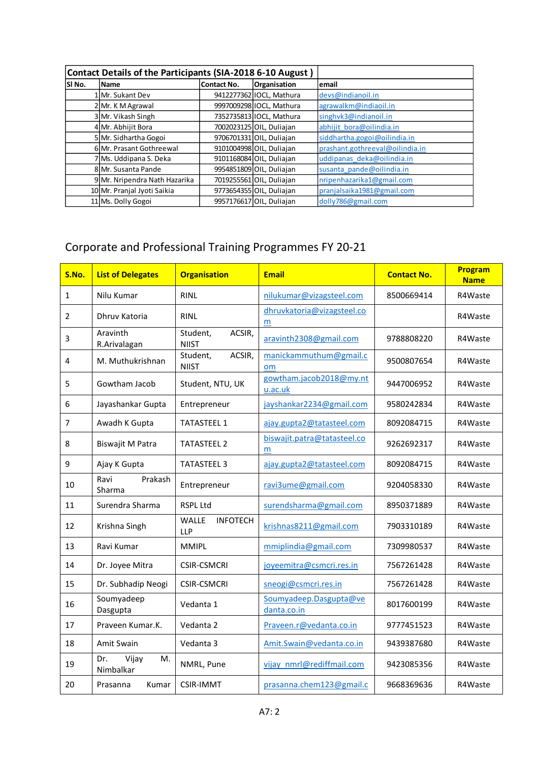| Contact Details of the Participants (SIA-2018 6-10 August) |                               |             |                          |                                 |
|------------------------------------------------------------|-------------------------------|-------------|--------------------------|---------------------------------|
| SI No.                                                     | <b>Name</b>                   | Contact No. | <b>Organisation</b>      | email                           |
|                                                            | 1 Mr. Sukant Dev              |             | 9412277362 IOCL, Mathura | devs@indianoil.in               |
|                                                            | 2 Mr. K M Agrawal             |             | 9997009298 IOCL, Mathura | agrawalkm@indiaoil.in           |
|                                                            | 3 Mr. Vikash Singh            |             | 7352735813 IOCL, Mathura | singhvk3@indianoil.in           |
|                                                            | 4 Mr. Abhijit Bora            |             | 7002023125 OIL, Duliajan | abhijit bora@oilindia.in        |
|                                                            | 5 Mr. Sidhartha Gogoi         |             | 9706701331 OIL, Duliajan | siddhartha.gogoi@oilindia.in    |
|                                                            | 6 Mr. Prasant Gothreewal      |             | 9101004998 OIL, Duliajan | prashant.gothreeval@oilindia.in |
|                                                            | 7 Ms. Uddipana S. Deka        |             | 9101168084 OIL, Duliajan | uddipanas deka@oilindia.in      |
|                                                            | 8 Mr. Susanta Pande           |             | 9954851809 OIL, Duliajan | susanta pande@oilindia.in       |
|                                                            | 9 Mr. Nripendra Nath Hazarika |             | 7019255561 OIL, Duliajan | nripenhazarika1@gmail.com       |
|                                                            | 10 Mr. Pranjal Jyoti Saikia   |             | 9773654355 OIL, Duliajan | pranjalsaika1981@gmail.com      |
|                                                            | 11 Ms. Dolly Gogoi            |             | 9957176617 OIL, Duliajan | dolly786@gmail.com              |

### Corporate and Professional Training Programmes FY 20-21

| S.No.        | <b>List of Delegates</b>        | <b>Organisation</b>                           | <b>Email</b>                          | <b>Contact No.</b> | Program<br><b>Name</b> |
|--------------|---------------------------------|-----------------------------------------------|---------------------------------------|--------------------|------------------------|
| $\mathbf{1}$ | Nilu Kumar                      | <b>RINL</b>                                   | nilukumar@vizagsteel.com              | 8500669414         | R4Waste                |
| 2            | Dhruy Katoria                   | <b>RINL</b>                                   | dhruvkatoria@vizagsteel.co<br>m       |                    | R4Waste                |
| 3            | Aravinth<br>R.Arivalagan        | ACSIR,<br>Student,<br><b>NIIST</b>            | aravinth2308@gmail.com                | 9788808220         | R4Waste                |
| 4            | M. Muthukrishnan                | Student,<br>ACSIR,<br><b>NIIST</b>            | manickammuthum@gmail.c<br>om          | 9500807654         | R4Waste                |
| 5            | Gowtham Jacob                   | Student, NTU, UK                              | gowtham.jacob2018@my.nt<br>u.ac.uk    | 9447006952         | R4Waste                |
| 6            | Jayashankar Gupta               | Entrepreneur                                  | jayshankar2234@gmail.com              | 9580242834         | R4Waste                |
| 7            | Awadh K Gupta                   | <b>TATASTEEL 1</b>                            | ajay.gupta2@tatasteel.com             | 8092084715         | R4Waste                |
| 8            | <b>Biswajit M Patra</b>         | <b>TATASTEEL 2</b>                            | biswajit.patra@tatasteel.co<br>m      | 9262692317         | R4Waste                |
| 9            | Ajay K Gupta                    | <b>TATASTEEL 3</b>                            | ajay.gupta2@tatasteel.com             | 8092084715         | R4Waste                |
| 10           | Ravi<br>Prakash<br>Sharma       | Entrepreneur                                  | ravi3ume@gmail.com                    | 9204058330         | R4Waste                |
| 11           | Surendra Sharma                 | <b>RSPL Ltd</b>                               | surendsharma@gmail.com                | 8950371889         | R4Waste                |
| 12           | Krishna Singh                   | <b>INFOTECH</b><br><b>WALLE</b><br><b>LLP</b> | krishnas8211@gmail.com                | 7903310189         | R4Waste                |
| 13           | Ravi Kumar                      | <b>MMIPL</b>                                  | mmiplindia@gmail.com                  | 7309980537         | R4Waste                |
| 14           | Dr. Joyee Mitra                 | <b>CSIR-CSMCRI</b>                            | joyeemitra@csmcri.res.in              | 7567261428         | R4Waste                |
| 15           | Dr. Subhadip Neogi              | <b>CSIR-CSMCRI</b>                            | sneogi@csmcri.res.in                  | 7567261428         | R4Waste                |
| 16           | Soumyadeep<br>Dasgupta          | Vedanta 1                                     | Soumyadeep.Dasgupta@ve<br>danta.co.in | 8017600199         | R4Waste                |
| 17           | Praveen Kumar.K.                | Vedanta 2                                     | Praveen.r@vedanta.co.in               | 9777451523         | R4Waste                |
| 18           | Amit Swain                      | Vedanta 3                                     | Amit.Swain@vedanta.co.in              | 9439387680         | R4Waste                |
| 19           | M.<br>Vijay<br>Dr.<br>Nimbalkar | NMRL, Pune                                    | vijay nmrl@rediffmail.com             | 9423085356         | R4Waste                |
| 20           | Kumar<br>Prasanna               | <b>CSIR-IMMT</b>                              | prasanna.chem123@gmail.c              | 9668369636         | R4Waste                |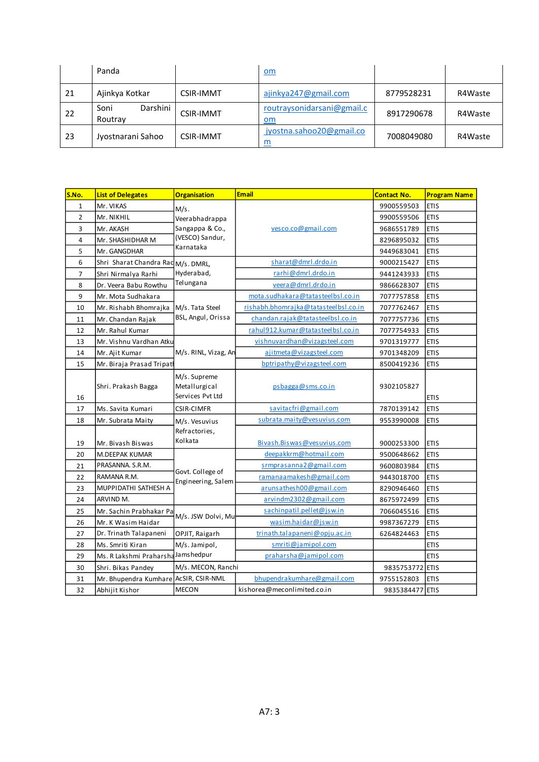|    | Panda                       |                  | $\mathbf{om}$                    |            |         |
|----|-----------------------------|------------------|----------------------------------|------------|---------|
| 21 | Ajinkya Kotkar              | <b>CSIR-IMMT</b> | ajinkya247@gmail.com             | 8779528231 | R4Waste |
| 22 | Darshini<br>Soni<br>Routray | <b>CSIR-IMMT</b> | routraysonidarsani@gmail.c<br>om | 8917290678 | R4Waste |
| 23 | Jyostnarani Sahoo           | <b>CSIR-IMMT</b> | jyostna.sahoo20@gmail.co<br>m    | 7008049080 | R4Waste |

| S.No.          | <b>List of Delegates</b>              | <b>Organisation</b>                               | <b>Email</b>                         | <b>Contact No.</b> | <b>Program Name</b> |
|----------------|---------------------------------------|---------------------------------------------------|--------------------------------------|--------------------|---------------------|
| $\mathbf{1}$   | Mr. VIKAS                             | M/s.                                              |                                      | 9900559503         | <b>ETIS</b>         |
| $\overline{2}$ | Mr. NIKHIL                            | Veerabhadrappa                                    |                                      | 9900559506         | <b>ETIS</b>         |
| 3              | Mr. AKASH                             | Sangappa & Co.,                                   | vesco.co@gmail.com                   | 9686551789         | <b>ETIS</b>         |
| 4              | Mr. SHASHIDHAR M                      | (VESCO) Sandur,                                   |                                      | 8296895032         | <b>ETIS</b>         |
| 5              | Mr. GANGDHAR                          | Karnataka                                         |                                      | 9449683041         | <b>ETIS</b>         |
| 6              | Shri Sharat Chandra RacM/s. DMRL,     |                                                   | sharat@dmrl.drdo.in                  | 9000215427         | <b>ETIS</b>         |
| 7              | Shri Nirmalya Rarhi                   | Hyderabad,                                        | rarhi@dmrl.drdo.in                   | 9441243933         | <b>ETIS</b>         |
| 8              | Dr. Veera Babu Rowthu                 | Telungana                                         | veera@dmrl.drdo.in                   | 9866628307         | <b>ETIS</b>         |
| 9              | Mr. Mota Sudhakara                    |                                                   | mota.sudhakara@tatasteelbsl.co.in    | 7077757858         | <b>ETIS</b>         |
| 10             | Mr. Rishabh Bhomrajka                 | M/s. Tata Steel                                   | rishabh.bhomrajka@tatasteelbsl.co.in | 7077762467         | <b>ETIS</b>         |
| 11             | Mr. Chandan Rajak                     | BSL, Angul, Orissa                                | chandan.rajak@tatasteelbsl.co.in     | 7077757736         | <b>ETIS</b>         |
| 12             | Mr. Rahul Kumar                       |                                                   | rahul912.kumar@tatasteelbsl.co.in    | 7077754933         | <b>ETIS</b>         |
| 13             | Mr. Vishnu Vardhan Atku               |                                                   | vishnuvardhan@vizagsteel.com         | 9701319777         | <b>ETIS</b>         |
| 14             | Mr. Ajit Kumar                        | M/s. RINL, Vizag, An                              | ajitmeta@vizagsteel.com              | 9701348209         | <b>ETIS</b>         |
| 15             | Mr. Biraja Prasad Tripath             |                                                   | bptripathy@vizagsteel.com            | 8500419236         | <b>ETIS</b>         |
| 16             | Shri. Prakash Bagga                   | M/s. Supreme<br>Metallurgical<br>Services Pvt Ltd | psbagga@sms.co.in                    | 9302105827         | <b>ETIS</b>         |
| 17             | Ms. Savita Kumari                     | <b>CSIR-CIMFR</b>                                 | savitacfri@gmail.com                 | 7870139142         | <b>ETIS</b>         |
| 18             | Mr. Subrata Maity                     | M/s. Vesuvius                                     | subrata.maity@vesuvius.com           | 9553990008         | <b>ETIS</b>         |
| 19             | Mr. Bivash Biswas                     | Refractories,<br>Kolkata                          | Bivash.Biswas@vesuvius.com           | 9000253300         | <b>ETIS</b>         |
| 20             | M.DEEPAK KUMAR                        |                                                   | deepakkrm@hotmail.com                | 9500648662         | <b>ETIS</b>         |
| 21             | PRASANNA. S.R.M.                      |                                                   | srmprasanna2@gmail.com               | 9600803984         | <b>ETIS</b>         |
| 22             | RAMANA R.M.                           | Govt. College of<br>Engineering, Salem            | ramanaamakesh@gmail.com              | 9443018700         | <b>ETIS</b>         |
| 23             | MUPPIDATHI SATHESH A                  |                                                   | arunsathesh00@gmail.com              | 8290946460         | <b>ETIS</b>         |
| 24             | ARVIND <sub>M.</sub>                  |                                                   | arvindm2302@gmail.com                | 8675972499         | <b>ETIS</b>         |
| 25             | Mr. Sachin Prabhakar Pa               |                                                   | sachinpatil.pellet@jsw.in            | 7066045516         | <b>ETIS</b>         |
| 26             | Mr. K Wasim Haidar                    | M/s. JSW Dolvi, Mu                                | wasim.haidar@jsw.in                  | 9987367279         | <b>ETIS</b>         |
| 27             | Dr. Trinath Talapaneni                | OPJIT, Raigarh                                    | trinath.talapaneni@opju.ac.in        | 6264824463         | <b>ETIS</b>         |
| 28             | Ms. Smriti Kiran                      | M/s. Jamipol,                                     | smriti@jamipol.com                   |                    | <b>ETIS</b>         |
| 29             | Ms. R Lakshmi PraharshaJamshedpur     |                                                   | praharsha@jamipol.com                |                    | <b>ETIS</b>         |
| 30             | Shri. Bikas Pandey                    | M/s. MECON, Ranchi                                |                                      | 9835753772 ETIS    |                     |
| 31             | Mr. Bhupendra Kumhare AcSIR, CSIR-NML |                                                   | bhupendrakumhare@gmail.com           | 9755152803         | <b>ETIS</b>         |
| 32             | Abhijit Kishor                        | <b>MECON</b>                                      | kishorea@meconlimited.co.in          | 9835384477 ETIS    |                     |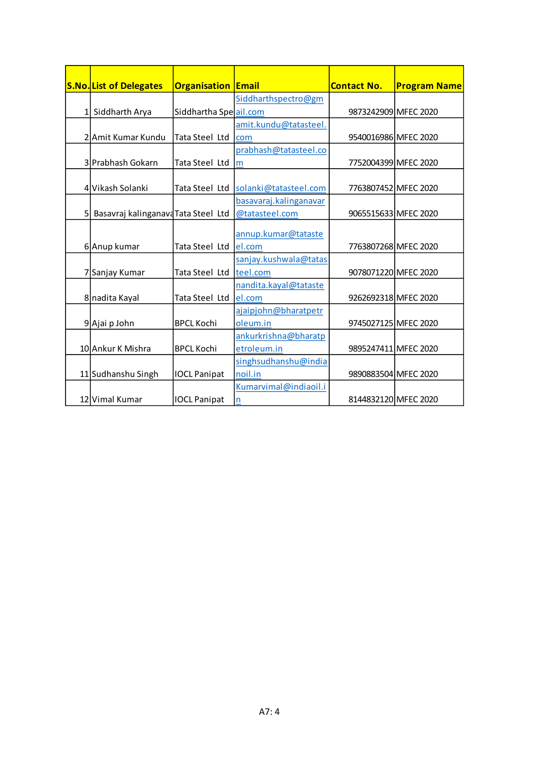| <b>S.No. List of Delegates</b>        | <b>Organisation Email</b> |                        | <b>Contact No.</b>   | <b>Program Name</b> |
|---------------------------------------|---------------------------|------------------------|----------------------|---------------------|
|                                       |                           | Siddharthspectro@gm    |                      |                     |
| 1 Siddharth Arya                      | Siddhartha Speail.com     |                        | 9873242909 MFEC 2020 |                     |
|                                       |                           | amit.kundu@tatasteel.  |                      |                     |
| 2 Amit Kumar Kundu                    | Tata Steel Ltd            | com                    | 9540016986 MFEC 2020 |                     |
|                                       |                           | prabhash@tatasteel.co  |                      |                     |
| 3 Prabhash Gokarn                     | Tata Steel Ltd            | $\mathsf{m}$           | 7752004399 MFEC 2020 |                     |
|                                       |                           |                        |                      |                     |
| 4 Vikash Solanki                      | Tata Steel Ltd            | solanki@tatasteel.com  | 7763807452 MFEC 2020 |                     |
|                                       |                           | basavaraj.kalinganavar |                      |                     |
| 5 Basavraj kalinganava Tata Steel Ltd |                           | @tatasteel.com         | 9065515633 MFEC 2020 |                     |
|                                       |                           |                        |                      |                     |
|                                       |                           | annup.kumar@tataste    |                      |                     |
| 6 Anup kumar                          | Tata Steel Ltd            | el.com                 | 7763807268 MFEC 2020 |                     |
|                                       |                           | sanjay.kushwala@tatas  |                      |                     |
| 7 Sanjay Kumar                        | Tata Steel Ltd            | teel.com               | 9078071220 MFEC 2020 |                     |
|                                       |                           | nandita.kayal@tataste  |                      |                     |
| 8 nadita Kayal                        | Tata Steel Ltd            | el.com                 | 9262692318 MFEC 2020 |                     |
|                                       |                           | ajaipjohn@bharatpetr   |                      |                     |
| 9 Ajai p John                         | <b>BPCL Kochi</b>         | oleum.in               | 9745027125 MFEC 2020 |                     |
|                                       |                           | ankurkrishna@bharatp   |                      |                     |
| 10 Ankur K Mishra                     | <b>BPCL Kochi</b>         | etroleum.in            | 9895247411 MFEC 2020 |                     |
|                                       |                           | singhsudhanshu@india   |                      |                     |
| 11 Sudhanshu Singh                    | <b>IOCL Panipat</b>       | noil.in                | 9890883504 MFEC 2020 |                     |
|                                       |                           | Kumarvimal@indiaoil.i  |                      |                     |
| 12 Vimal Kumar                        | <b>IOCL Panipat</b>       | n                      | 8144832120 MFEC 2020 |                     |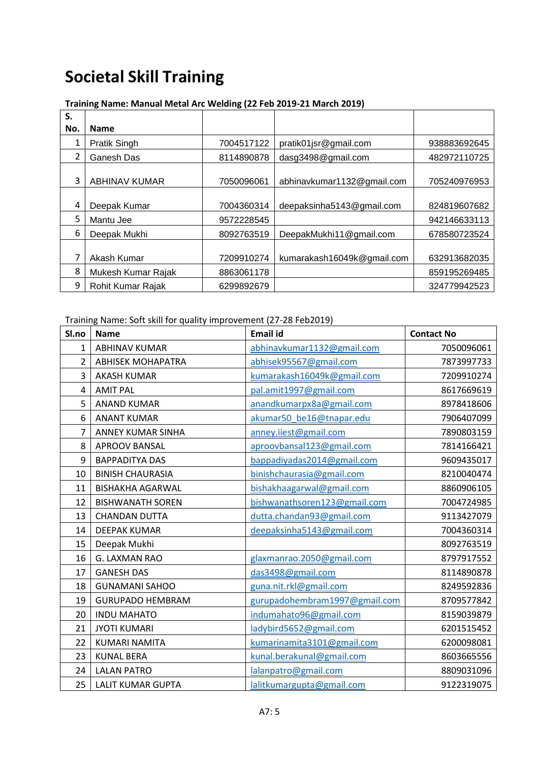# **Societal Skill Training**

| Training Name: Manual Metal Arc Welding (22 Feb 2019-21 March 2019) |  |
|---------------------------------------------------------------------|--|
|                                                                     |  |

| S.  |                      |            |                            |              |
|-----|----------------------|------------|----------------------------|--------------|
| No. | <b>Name</b>          |            |                            |              |
|     | <b>Pratik Singh</b>  | 7004517122 | pratik01jsr@gmail.com      | 938883692645 |
| 2   | Ganesh Das           | 8114890878 | dasg3498@gmail.com         | 482972110725 |
| 3   | <b>ABHINAV KUMAR</b> | 7050096061 | abhinavkumar1132@gmail.com | 705240976953 |
|     |                      |            |                            |              |
| 4   | Deepak Kumar         | 7004360314 | deepaksinha5143@gmail.com  | 824819607682 |
| 5   | Mantu Jee            | 9572228545 |                            | 942146633113 |
| 6   | Deepak Mukhi         | 8092763519 | DeepakMukhi11@gmail.com    | 678580723524 |
|     |                      |            |                            |              |
|     | Akash Kumar          | 7209910274 | kumarakash16049k@gmail.com | 632913682035 |
| 8   | Mukesh Kumar Rajak   | 8863061178 |                            | 859195269485 |
| 9   | Rohit Kumar Rajak    | 6299892679 |                            | 324779942523 |

Training Name: Soft skill for quality improvement (27-28 Feb2019)

| Sl.no          | <b>Name</b>              | <b>Email id</b>               | <b>Contact No</b> |
|----------------|--------------------------|-------------------------------|-------------------|
| 1              | <b>ABHINAV KUMAR</b>     | abhinavkumar1132@gmail.com    | 7050096061        |
| $\overline{2}$ | <b>ABHISEK MOHAPATRA</b> | abhisek95567@gmail.com        | 7873997733        |
| 3              | <b>AKASH KUMAR</b>       | kumarakash16049k@gmail.com    | 7209910274        |
| $\overline{4}$ | <b>AMIT PAL</b>          | pal.amit1997@gmail.com        | 8617669619        |
| 5              | <b>ANAND KUMAR</b>       | anandkumarpx8a@gmail.com      | 8978418606        |
| 6              | <b>ANANT KUMAR</b>       | akumar50 be16@tnapar.edu      | 7906407099        |
| $\overline{7}$ | <b>ANNEY KUMAR SINHA</b> | anney.iiest@gmail.com         | 7890803159        |
| 8              | <b>APROOV BANSAL</b>     | aproovbansal123@gmail.com     | 7814166421        |
| 9              | <b>BAPPADITYA DAS</b>    | bappadiyadas2014@gmail.com    | 9609435017        |
| 10             | <b>BINISH CHAURASIA</b>  | binishchaurasia@gmail.com     | 8210040474        |
| 11             | <b>BISHAKHA AGARWAL</b>  | bishakhaagarwal@gmail.com     | 8860906105        |
| 12             | <b>BISHWANATH SOREN</b>  | bishwanathsoren123@gmail.com  | 7004724985        |
| 13             | <b>CHANDAN DUTTA</b>     | dutta.chandan93@gmail.com     | 9113427079        |
| 14             | <b>DEEPAK KUMAR</b>      | deepaksinha5143@gmail.com     | 7004360314        |
| 15             | Deepak Mukhi             |                               | 8092763519        |
| 16             | G. LAXMAN RAO            | glaxmanrao.2050@gmail.com     | 8797917552        |
| 17             | <b>GANESH DAS</b>        | das3498@gmail.com             | 8114890878        |
| 18             | <b>GUNAMANI SAHOO</b>    | guna.nit.rkl@gmail.com        | 8249592836        |
| 19             | <b>GURUPADO HEMBRAM</b>  | gurupadohembram1997@gmail.com | 8709577842        |
| 20             | <b>INDU MAHATO</b>       | indumahato96@gmail.com        | 8159039879        |
| 21             | <b>JYOTI KUMARI</b>      | ladybird5652@gmail.com        | 6201515452        |
| 22             | <b>KUMARI NAMITA</b>     | kumarinamita3101@gmail.com    | 6200098081        |
| 23             | <b>KUNAL BERA</b>        | kunal.berakunal@gmail.com     | 8603665556        |
| 24             | <b>LALAN PATRO</b>       | lalanpatro@gmail.com          | 8809031096        |
| 25             | <b>LALIT KUMAR GUPTA</b> | lalitkumargupta@gmail.com     | 9122319075        |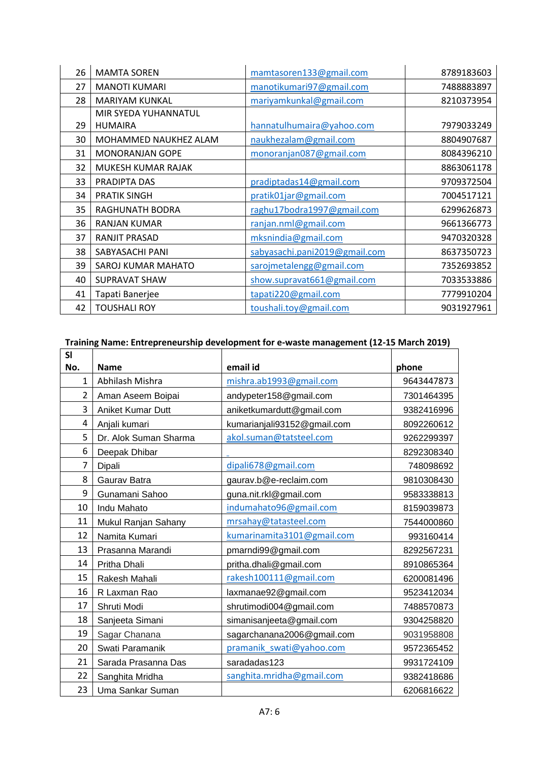| 26 | <b>MAMTA SOREN</b>     | mamtasoren133@gmail.com       | 8789183603 |
|----|------------------------|-------------------------------|------------|
| 27 | <b>MANOTI KUMARI</b>   | manotikumari97@gmail.com      | 7488883897 |
| 28 | <b>MARIYAM KUNKAL</b>  | mariyamkunkal@gmail.com       | 8210373954 |
|    | MIR SYEDA YUHANNATUL   |                               |            |
| 29 | <b>HUMAIRA</b>         | hannatulhumaira@yahoo.com     | 7979033249 |
| 30 | MOHAMMED NAUKHEZ ALAM  | naukhezalam@gmail.com         | 8804907687 |
| 31 | <b>MONORANJAN GOPE</b> | monoranjan087@gmail.com       | 8084396210 |
| 32 | MUKESH KUMAR RAJAK     |                               | 8863061178 |
| 33 | PRADIPTA DAS           | pradiptadas14@gmail.com       | 9709372504 |
| 34 | <b>PRATIK SINGH</b>    | pratik01jar@gmail.com         | 7004517121 |
| 35 | RAGHUNATH BODRA        | raghu17bodra1997@gmail.com    | 6299626873 |
| 36 | <b>RANJAN KUMAR</b>    | ranjan.nml@gmail.com          | 9661366773 |
| 37 | RANJIT PRASAD          | mksnindia@gmail.com           | 9470320328 |
| 38 | SABYASACHI PANI        | sabyasachi.pani2019@gmail.com | 8637350723 |
| 39 | SAROJ KUMAR MAHATO     | sarojmetalengg@gmail.com      | 7352693852 |
| 40 | <b>SUPRAVAT SHAW</b>   | show.supravat661@gmail.com    | 7033533886 |
| 41 | Tapati Banerjee        | tapati220@gmail.com           | 7779910204 |
| 42 | <b>TOUSHALI ROY</b>    | toushali.toy@gmail.com        | 9031927961 |

# **Training Name: Entrepreneurship development for e-waste management (12-15 March 2019)**

| <b>SI</b>      |                          |                             |            |
|----------------|--------------------------|-----------------------------|------------|
| No.            | <b>Name</b>              | email id                    | phone      |
| $\mathbf{1}$   | Abhilash Mishra          | mishra.ab1993@gmail.com     | 9643447873 |
| $\overline{2}$ | Aman Aseem Boipai        | andypeter158@gmail.com      | 7301464395 |
| 3              | <b>Aniket Kumar Dutt</b> | aniketkumardutt@gmail.com   | 9382416996 |
| 4              | Anjali kumari            | kumarianjali93152@gmail.com | 8092260612 |
| 5              | Dr. Alok Suman Sharma    | akol.suman@tatsteel.com     | 9262299397 |
| 6              | Deepak Dhibar            |                             | 8292308340 |
| 7              | Dipali                   | dipali678@gmail.com         | 748098692  |
| 8              | Gaurav Batra             | gaurav.b@e-reclaim.com      | 9810308430 |
| 9              | Gunamani Sahoo           | guna.nit.rkl@gmail.com      | 9583338813 |
| 10             | Indu Mahato              | indumahato96@gmail.com      | 8159039873 |
| 11             | Mukul Ranjan Sahany      | mrsahay@tatasteel.com       | 7544000860 |
| 12             | Namita Kumari            | kumarinamita3101@gmail.com  | 993160414  |
| 13             | Prasanna Marandi         | pmarndi99@gmail.com         | 8292567231 |
| 14             | Pritha Dhali             | pritha.dhali@gmail.com      | 8910865364 |
| 15             | Rakesh Mahali            | rakesh100111@gmail.com      | 6200081496 |
| 16             | R Laxman Rao             | laxmanae92@gmail.com        | 9523412034 |
| 17             | Shruti Modi              | shrutimodi004@gmail.com     | 7488570873 |
| 18             | Sanjeeta Simani          | simanisanjeeta@gmail.com    | 9304258820 |
| 19             | Sagar Chanana            | sagarchanana2006@gmail.com  | 9031958808 |
| 20             | Swati Paramanik          | pramanik swati@yahoo.com    | 9572365452 |
| 21             | Sarada Prasanna Das      | saradadas123                | 9931724109 |
| 22             | Sanghita Mridha          | sanghita.mridha@gmail.com   | 9382418686 |
| 23             | Uma Sankar Suman         |                             | 6206816622 |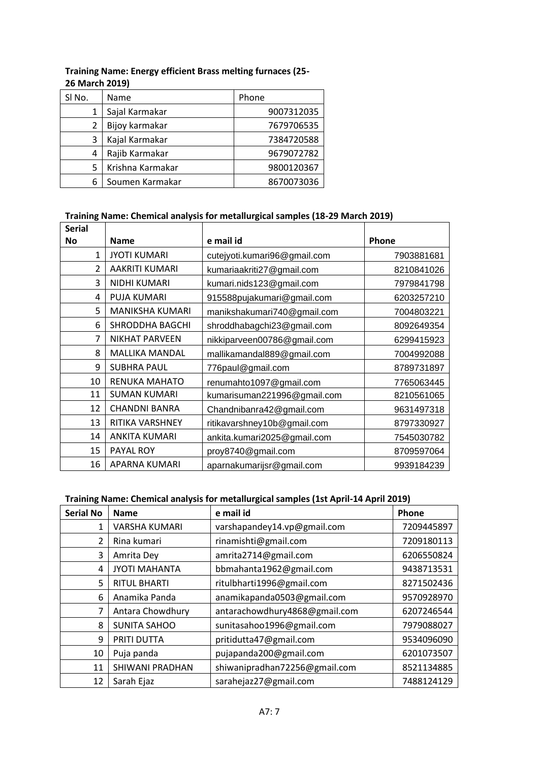| SI No. | Name             | Phone      |  |  |
|--------|------------------|------------|--|--|
|        | Sajal Karmakar   | 9007312035 |  |  |
|        | Bijoy karmakar   | 7679706535 |  |  |
| 3      | Kajal Karmakar   | 7384720588 |  |  |
| 4      | Rajib Karmakar   | 9679072782 |  |  |
| 5      | Krishna Karmakar | 9800120367 |  |  |
| 6      | Soumen Karmakar  | 8670073036 |  |  |

#### **Training Name: Energy efficient Brass melting furnaces (25- 26 March 2019)**

#### **Training Name: Chemical analysis for metallurgical samples (18-29 March 2019)**

| <b>Serial</b>            |                        |                              |            |
|--------------------------|------------------------|------------------------------|------------|
| <b>No</b>                | <b>Name</b>            | e mail id                    | Phone      |
| 1                        | <b>JYOTI KUMARI</b>    | cutejyoti.kumari96@gmail.com | 7903881681 |
| $\overline{\mathcal{L}}$ | <b>AAKRITI KUMARI</b>  | kumariaakriti27@gmail.com    | 8210841026 |
| 3                        | NIDHI KUMARI           | kumari.nids123@gmail.com     | 7979841798 |
| 4                        | <b>PUJA KUMARI</b>     | 915588pujakumari@gmail.com   | 6203257210 |
| 5                        | MANIKSHA KUMARI        | manikshakumari740@gmail.com  | 7004803221 |
| 6                        | <b>SHRODDHA BAGCHI</b> | shroddhabagchi23@gmail.com   | 8092649354 |
| 7                        | NIKHAT PARVEEN         | nikkiparveen00786@gmail.com  | 6299415923 |
| 8                        | <b>MALLIKA MANDAL</b>  | mallikamandal889@gmail.com   | 7004992088 |
| 9                        | <b>SUBHRA PAUL</b>     | 776paul@gmail.com            | 8789731897 |
| 10                       | RENUKA MAHATO          | renumahto1097@gmail.com      | 7765063445 |
| 11                       | <b>SUMAN KUMARI</b>    | kumarisuman221996@gmail.com  | 8210561065 |
| 12                       | <b>CHANDNI BANRA</b>   | Chandnibanra42@gmail.com     | 9631497318 |
| 13                       | RITIKA VARSHNEY        | ritikavarshney10b@gmail.com  | 8797330927 |
| 14                       | <b>ANKITA KUMARI</b>   | ankita.kumari2025@gmail.com  | 7545030782 |
| 15                       | PAYAL ROY              | proy8740@gmail.com           | 8709597064 |
| 16                       | APARNA KUMARI          | aparnakumarijsr@gmail.com    | 9939184239 |

#### **Training Name: Chemical analysis for metallurgical samples (1st April-14 April 2019)**

| <b>Serial No</b> | <b>Name</b>          | e mail id                     | Phone      |
|------------------|----------------------|-------------------------------|------------|
| 1                | <b>VARSHA KUMARI</b> | varshapandey14.vp@gmail.com   | 7209445897 |
| 2                | Rina kumari          | rinamishti@gmail.com          | 7209180113 |
| 3                | Amrita Dey           | amrita2714@gmail.com          | 6206550824 |
| 4                | <b>JYOTI MAHANTA</b> | bbmahanta1962@gmail.com       | 9438713531 |
| 5                | <b>RITUL BHARTI</b>  | ritulbharti1996@gmail.com     | 8271502436 |
| 6                | Anamika Panda        | anamikapanda0503@gmail.com    | 9570928970 |
| 7                | Antara Chowdhury     | antarachowdhury4868@gmail.com | 6207246544 |
| 8                | <b>SUNITA SAHOO</b>  | sunitasahoo1996@gmail.com     | 7979088027 |
| 9                | PRITI DUTTA          | pritidutta47@gmail.com        | 9534096090 |
| 10               | Puja panda           | pujapanda200@gmail.com        | 6201073507 |
| 11               | SHIWANI PRADHAN      | shiwanipradhan72256@gmail.com | 8521134885 |
| 12               | Sarah Ejaz           | sarahejaz27@gmail.com         | 7488124129 |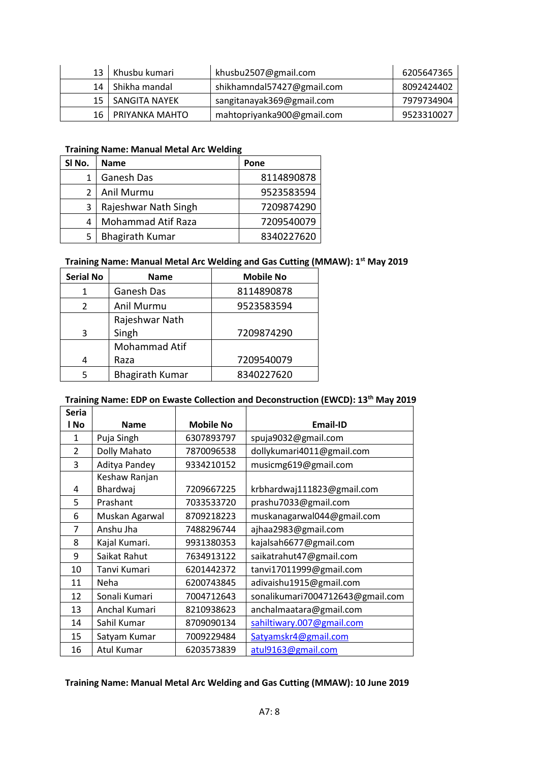| 13   Khusbu kumari  | khusbu2507@gmail.com       | 6205647365 |
|---------------------|----------------------------|------------|
| 14   Shikha mandal  | shikhamndal57427@gmail.com | 8092424402 |
| 15   SANGITA NAYEK  | sangitanayak369@gmail.com  | 7979734904 |
| 16   PRIYANKA MAHTO | mahtopriyanka900@gmail.com | 9523310027 |

#### **Training Name: Manual Metal Arc Welding**

| SI No. | <b>Name</b>            | Pone       |
|--------|------------------------|------------|
|        | Ganesh Das             | 8114890878 |
|        | Anil Murmu             | 9523583594 |
| 3      | Rajeshwar Nath Singh   | 7209874290 |
| 4      | Mohammad Atif Raza     | 7209540079 |
|        | <b>Bhagirath Kumar</b> | 8340227620 |

### **Training Name: Manual Metal Arc Welding and Gas Cutting (MMAW): 1st May 2019**

| <b>Serial No</b> | <b>Name</b>            | <b>Mobile No</b> |
|------------------|------------------------|------------------|
|                  | Ganesh Das             | 8114890878       |
| $\mathcal{P}$    | Anil Murmu             | 9523583594       |
|                  | Rajeshwar Nath         |                  |
| 3                | Singh                  | 7209874290       |
|                  | Mohammad Atif          |                  |
|                  | Raza                   | 7209540079       |
|                  | <b>Bhagirath Kumar</b> | 8340227620       |

## **Training Name: EDP on Ewaste Collection and Deconstruction (EWCD): 13th May 2019**

| Seria          |                |                  |                                  |
|----------------|----------------|------------------|----------------------------------|
| l No           | <b>Name</b>    | <b>Mobile No</b> | <b>Email-ID</b>                  |
| 1              | Puja Singh     | 6307893797       | spuja9032@gmail.com              |
| $\overline{2}$ | Dolly Mahato   | 7870096538       | dollykumari4011@gmail.com        |
| 3              | Aditya Pandey  | 9334210152       | musicmg619@gmail.com             |
|                | Keshaw Ranjan  |                  |                                  |
| 4              | Bhardwaj       | 7209667225       | krbhardwaj111823@gmail.com       |
| 5              | Prashant       | 7033533720       | prashu7033@gmail.com             |
| 6              | Muskan Agarwal | 8709218223       | muskanagarwal044@gmail.com       |
| 7              | Anshu Jha      | 7488296744       | ajhaa2983@gmail.com              |
| 8              | Kajal Kumari.  | 9931380353       | kajalsah6677@gmail.com           |
| 9              | Saikat Rahut   | 7634913122       | saikatrahut47@gmail.com          |
| 10             | Tanvi Kumari   | 6201442372       | tanvi17011999@gmail.com          |
| 11             | Neha           | 6200743845       | adivaishu1915@gmail.com          |
| 12             | Sonali Kumari  | 7004712643       | sonalikumari7004712643@gmail.com |
| 13             | Anchal Kumari  | 8210938623       | anchalmaatara@gmail.com          |
| 14             | Sahil Kumar    | 8709090134       | sahiltiwary.007@gmail.com        |
| 15             | Satyam Kumar   | 7009229484       | Satyamskr4@gmail.com             |
| 16             | Atul Kumar     | 6203573839       | atul9163@gmail.com               |

#### **Training Name: Manual Metal Arc Welding and Gas Cutting (MMAW): 10 June 2019**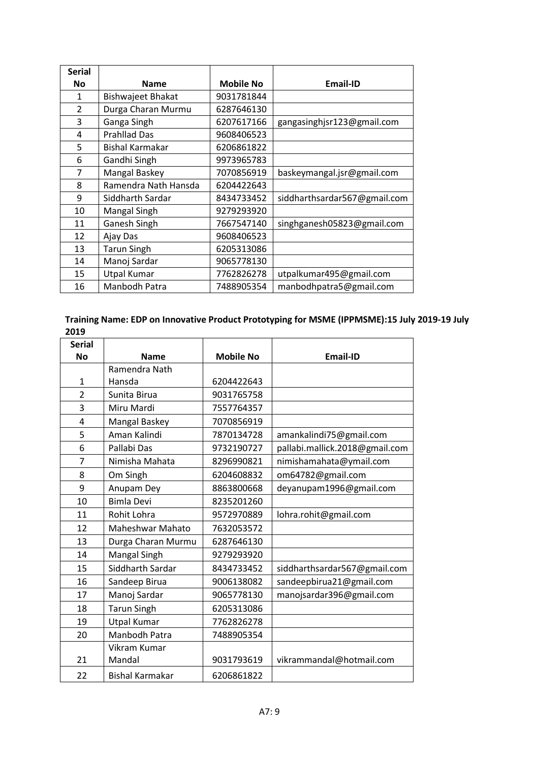| <b>Serial</b>            |                          |                  |                              |
|--------------------------|--------------------------|------------------|------------------------------|
| <b>No</b>                | <b>Name</b>              | <b>Mobile No</b> | <b>Email-ID</b>              |
| 1                        | <b>Bishwajeet Bhakat</b> | 9031781844       |                              |
| $\overline{\mathcal{L}}$ | Durga Charan Murmu       | 6287646130       |                              |
| 3                        | Ganga Singh              | 6207617166       | gangasinghjsr123@gmail.com   |
| 4                        | <b>Prahllad Das</b>      | 9608406523       |                              |
| 5                        | Bishal Karmakar          | 6206861822       |                              |
| 6                        | Gandhi Singh             | 9973965783       |                              |
| 7                        | Mangal Baskey            | 7070856919       | baskeymangal.jsr@gmail.com   |
| 8                        | Ramendra Nath Hansda     | 6204422643       |                              |
| 9                        | Siddharth Sardar         | 8434733452       | siddharthsardar567@gmail.com |
| 10                       | Mangal Singh             | 9279293920       |                              |
| 11                       | Ganesh Singh             | 7667547140       | singhganesh05823@gmail.com   |
| 12                       | Ajay Das                 | 9608406523       |                              |
| 13                       | <b>Tarun Singh</b>       | 6205313086       |                              |
| 14                       | Manoj Sardar             | 9065778130       |                              |
| 15                       | <b>Utpal Kumar</b>       | 7762826278       | utpalkumar495@gmail.com      |
| 16                       | Manbodh Patra            | 7488905354       | manbodhpatra5@gmail.com      |

| Training Name: EDP on Innovative Product Prototyping for MSME (IPPMSME):15 July 2019-19 July |
|----------------------------------------------------------------------------------------------|
| 2019                                                                                         |

| <b>Serial</b>  |                         |                  |                                |
|----------------|-------------------------|------------------|--------------------------------|
| <b>No</b>      | <b>Name</b>             | <b>Mobile No</b> | <b>Email-ID</b>                |
|                | Ramendra Nath           |                  |                                |
| $\mathbf{1}$   | Hansda                  | 6204422643       |                                |
| $\overline{2}$ | Sunita Birua            | 9031765758       |                                |
| 3              | Miru Mardi              | 7557764357       |                                |
| 4              | Mangal Baskey           | 7070856919       |                                |
| 5              | Aman Kalindi            | 7870134728       | amankalindi75@gmail.com        |
| 6              | Pallabi Das             | 9732190727       | pallabi.mallick.2018@gmail.com |
| 7              | Nimisha Mahata          | 8296990821       | nimishamahata@ymail.com        |
| 8              | Om Singh                | 6204608832       | om64782@gmail.com              |
| 9              | Anupam Dey              | 8863800668       | deyanupam1996@gmail.com        |
| 10             | <b>Bimla Devi</b>       | 8235201260       |                                |
| 11             | Rohit Lohra             | 9572970889       | lohra.rohit@gmail.com          |
| 12             | <b>Maheshwar Mahato</b> | 7632053572       |                                |
| 13             | Durga Charan Murmu      | 6287646130       |                                |
| 14             | Mangal Singh            | 9279293920       |                                |
| 15             | Siddharth Sardar        | 8434733452       | siddharthsardar567@gmail.com   |
| 16             | Sandeep Birua           | 9006138082       | sandeepbirua21@gmail.com       |
| 17             | Manoj Sardar            | 9065778130       | manojsardar396@gmail.com       |
| 18             | <b>Tarun Singh</b>      | 6205313086       |                                |
| 19             | <b>Utpal Kumar</b>      | 7762826278       |                                |
| 20             | Manbodh Patra           | 7488905354       |                                |
|                | Vikram Kumar            |                  |                                |
| 21             | Mandal                  | 9031793619       | vikrammandal@hotmail.com       |
| 22             | Bishal Karmakar         | 6206861822       |                                |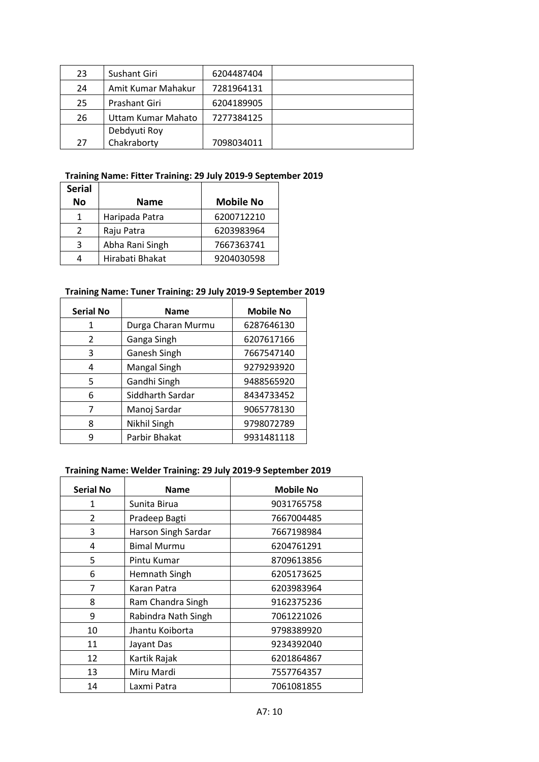| 23 | Sushant Giri       | 6204487404 |  |
|----|--------------------|------------|--|
| 24 | Amit Kumar Mahakur | 7281964131 |  |
| 25 | Prashant Giri      | 6204189905 |  |
| 26 | Uttam Kumar Mahato | 7277384125 |  |
|    | Debdyuti Roy       |            |  |
| 27 | Chakraborty        | 7098034011 |  |

#### **Training Name: Fitter Training: 29 July 2019-9 September 2019**

| <b>Serial</b> |                 |                  |
|---------------|-----------------|------------------|
| No            | <b>Name</b>     | <b>Mobile No</b> |
|               | Haripada Patra  | 6200712210       |
| $\mathcal{P}$ | Raju Patra      | 6203983964       |
| 3             | Abha Rani Singh | 7667363741       |
|               | Hirabati Bhakat | 9204030598       |

#### **Training Name: Tuner Training: 29 July 2019-9 September 2019**

| <b>Serial No</b> | <b>Name</b>         | <b>Mobile No</b> |
|------------------|---------------------|------------------|
| 1                | Durga Charan Murmu  | 6287646130       |
| 2                | Ganga Singh         | 6207617166       |
| 3                | Ganesh Singh        | 7667547140       |
| 4                | <b>Mangal Singh</b> | 9279293920       |
| 5                | Gandhi Singh        | 9488565920       |
| 6                | Siddharth Sardar    | 8434733452       |
| 7                | Manoj Sardar        | 9065778130       |
| 8                | Nikhil Singh        | 9798072789       |
|                  | Parbir Bhakat       | 9931481118       |

#### **Training Name: Welder Training: 29 July 2019-9 September 2019**

| <b>Serial No</b> | <b>Name</b>         | <b>Mobile No</b> |
|------------------|---------------------|------------------|
| 1                | Sunita Birua        | 9031765758       |
| $\overline{2}$   | Pradeep Bagti       | 7667004485       |
| 3                | Harson Singh Sardar | 7667198984       |
| 4                | <b>Bimal Murmu</b>  | 6204761291       |
| 5                | Pintu Kumar         | 8709613856       |
| 6                | Hemnath Singh       | 6205173625       |
| 7                | Karan Patra         | 6203983964       |
| 8                | Ram Chandra Singh   | 9162375236       |
| 9                | Rabindra Nath Singh | 7061221026       |
| 10               | Jhantu Koiborta     | 9798389920       |
| 11               | Jayant Das          | 9234392040       |
| 12               | Kartik Rajak        | 6201864867       |
| 13               | Miru Mardi          | 7557764357       |
| 14               | Laxmi Patra         | 7061081855       |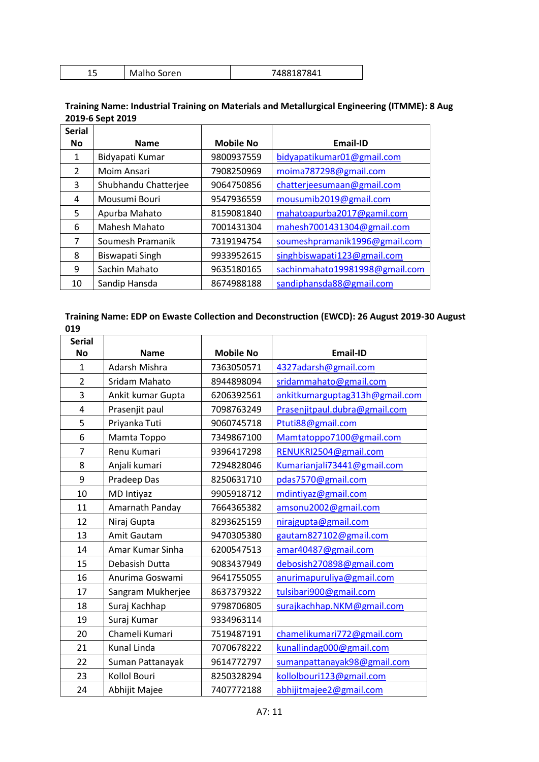| Malho Soren<br>7488187841<br>-- |  |
|---------------------------------|--|
|---------------------------------|--|

#### **Training Name: Industrial Training on Materials and Metallurgical Engineering (ITMME): 8 Aug 2019-6 Sept 2019**

| <b>Serial</b> |                      |                  |                                |
|---------------|----------------------|------------------|--------------------------------|
| <b>No</b>     | <b>Name</b>          | <b>Mobile No</b> | <b>Email-ID</b>                |
| 1             | Bidyapati Kumar      | 9800937559       | bidyapatikumar01@gmail.com     |
| $\mathcal{P}$ | Moim Ansari          | 7908250969       | moima787298@gmail.com          |
| 3             | Shubhandu Chatterjee | 9064750856       | chatterjeesumaan@gmail.com     |
| 4             | Mousumi Bouri        | 9547936559       | mousumib2019@gmail.com         |
| 5             | Apurba Mahato        | 8159081840       | mahatoapurba2017@gamil.com     |
| 6             | Mahesh Mahato        | 7001431304       | mahesh7001431304@gmail.com     |
| 7             | Soumesh Pramanik     | 7319194754       | soumeshpramanik1996@gmail.com  |
| 8             | Biswapati Singh      | 9933952615       | singhbiswapati123@gmail.com    |
| 9             | Sachin Mahato        | 9635180165       | sachinmahato19981998@gmail.com |
| 10            | Sandip Hansda        | 8674988188       | sandiphansda88@gmail.com       |

#### **Training Name: EDP on Ewaste Collection and Deconstruction (EWCD): 26 August 2019-30 August**

| <b>Serial</b>  |                   |                  |                                |
|----------------|-------------------|------------------|--------------------------------|
| <b>No</b>      | <b>Name</b>       | <b>Mobile No</b> | <b>Email-ID</b>                |
| $\mathbf{1}$   | Adarsh Mishra     | 7363050571       | 4327adarsh@gmail.com           |
| $\overline{2}$ | Sridam Mahato     | 8944898094       | sridammahato@gmail.com         |
| 3              | Ankit kumar Gupta | 6206392561       | ankitkumarguptag313h@gmail.com |
| 4              | Prasenjit paul    | 7098763249       | Prasenjitpaul.dubra@gmail.com  |
| 5              | Priyanka Tuti     | 9060745718       | Ptuti88@gmail.com              |
| 6              | Mamta Toppo       | 7349867100       | Mamtatoppo7100@gmail.com       |
| $\overline{7}$ | Renu Kumari       | 9396417298       | RENUKRI2504@gmail.com          |
| 8              | Anjali kumari     | 7294828046       | Kumarianjali73441@gmail.com    |
| 9              | Pradeep Das       | 8250631710       | pdas7570@gmail.com             |
| 10             | <b>MD Intiyaz</b> | 9905918712       | mdintiyaz@gmail.com            |
| 11             | Amarnath Panday   | 7664365382       | amsonu2002@gmail.com           |
| 12             | Niraj Gupta       | 8293625159       | nirajgupta@gmail.com           |
| 13             | Amit Gautam       | 9470305380       | gautam827102@gmail.com         |
| 14             | Amar Kumar Sinha  | 6200547513       | amar40487@gmail.com            |
| 15             | Debasish Dutta    | 9083437949       | debosish270898@gmail.com       |
| 16             | Anurima Goswami   | 9641755055       | anurimapuruliya@gmail.com      |
| 17             | Sangram Mukherjee | 8637379322       | tulsibari900@gmail.com         |
| 18             | Suraj Kachhap     | 9798706805       | surajkachhap.NKM@gmail.com     |
| 19             | Suraj Kumar       | 9334963114       |                                |
| 20             | Chameli Kumari    | 7519487191       | chamelikumari772@gmail.com     |
| 21             | Kunal Linda       | 7070678222       | kunallindag000@gmail.com       |
| 22             | Suman Pattanayak  | 9614772797       | sumanpattanayak98@gmail.com    |
| 23             | Kollol Bouri      | 8250328294       | kollolbouri123@gmail.com       |
| 24             | Abhijit Majee     | 7407772188       | abhijitmajee2@gmail.com        |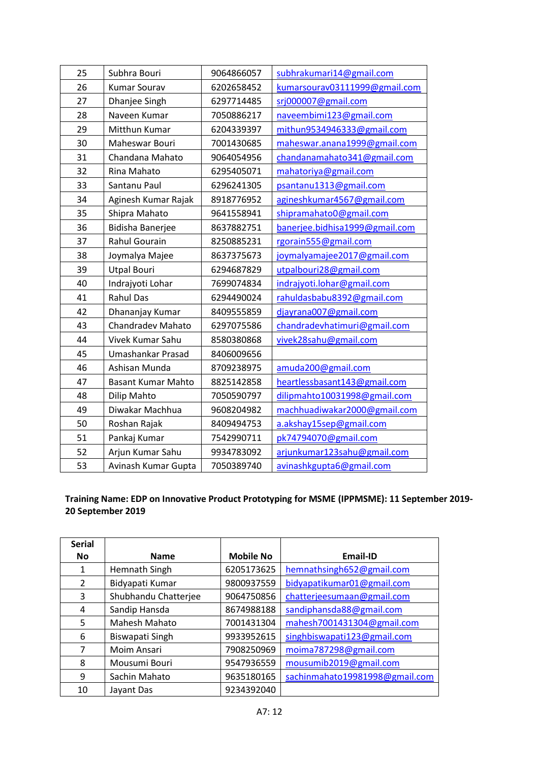| 25 | Subhra Bouri              | 9064866057 | subhrakumari14@gmail.com       |
|----|---------------------------|------------|--------------------------------|
| 26 | <b>Kumar Sourav</b>       | 6202658452 | kumarsourav03111999@gmail.com  |
| 27 | Dhanjee Singh             | 6297714485 | srj000007@gmail.com            |
| 28 | Naveen Kumar              | 7050886217 | naveembimi123@gmail.com        |
| 29 | Mitthun Kumar             | 6204339397 | mithun9534946333@gmail.com     |
| 30 | Maheswar Bouri            | 7001430685 | maheswar.anana1999@gmail.com   |
| 31 | Chandana Mahato           | 9064054956 | chandanamahato341@gmail.com    |
| 32 | Rina Mahato               | 6295405071 | mahatoriya@gmail.com           |
| 33 | Santanu Paul              | 6296241305 | psantanu1313@gmail.com         |
| 34 | Aginesh Kumar Rajak       | 8918776952 | agineshkumar4567@gmail.com     |
| 35 | Shipra Mahato             | 9641558941 | shipramahato0@gmail.com        |
| 36 | Bidisha Banerjee          | 8637882751 | banerjee.bidhisa1999@gmail.com |
| 37 | <b>Rahul Gourain</b>      | 8250885231 | rgorain555@gmail.com           |
| 38 | Joymalya Majee            | 8637375673 | joymalyamajee2017@gmail.com    |
| 39 | <b>Utpal Bouri</b>        | 6294687829 | utpalbouri28@gmail.com         |
| 40 | Indrajyoti Lohar          | 7699074834 | indrajyoti.lohar@gmail.com     |
| 41 | <b>Rahul Das</b>          | 6294490024 | rahuldasbabu8392@gmail.com     |
| 42 | Dhananjay Kumar           | 8409555859 | djayrana007@gmail.com          |
| 43 | Chandradev Mahato         | 6297075586 | chandradevhatimuri@gmail.com   |
| 44 | Vivek Kumar Sahu          | 8580380868 | vivek28sahu@gmail.com          |
| 45 | Umashankar Prasad         | 8406009656 |                                |
| 46 | Ashisan Munda             | 8709238975 | amuda200@gmail.com             |
| 47 | <b>Basant Kumar Mahto</b> | 8825142858 | heartlessbasant143@gmail.com   |
| 48 | Dilip Mahto               | 7050590797 | dilipmahto10031998@gmail.com   |
| 49 | Diwakar Machhua           | 9608204982 | machhuadiwakar2000@gmail.com   |
| 50 | Roshan Rajak              | 8409494753 | a.akshay15sep@gmail.com        |
| 51 | Pankaj Kumar              | 7542990711 | pk74794070@gmail.com           |
| 52 | Arjun Kumar Sahu          | 9934783092 | arjunkumar123sahu@gmail.com    |
| 53 | Avinash Kumar Gupta       | 7050389740 | avinashkgupta6@gmail.com       |
|    |                           |            |                                |

#### **Training Name: EDP on Innovative Product Prototyping for MSME (IPPMSME): 11 September 2019- 20 September 2019**

| <b>Serial</b> |                      |                  |                                |
|---------------|----------------------|------------------|--------------------------------|
| <b>No</b>     | <b>Name</b>          | <b>Mobile No</b> | <b>Email-ID</b>                |
| 1             | Hemnath Singh        | 6205173625       | hemnathsingh652@gmail.com      |
| 2             | Bidyapati Kumar      | 9800937559       | bidyapatikumar01@gmail.com     |
| 3             | Shubhandu Chatterjee | 9064750856       | chatterjeesumaan@gmail.com     |
| 4             | Sandip Hansda        | 8674988188       | sandiphansda88@gmail.com       |
| 5             | Mahesh Mahato        | 7001431304       | mahesh7001431304@gmail.com     |
| 6             | Biswapati Singh      | 9933952615       | singhbiswapati123@gmail.com    |
| 7             | Moim Ansari          | 7908250969       | moima787298@gmail.com          |
| 8             | Mousumi Bouri        | 9547936559       | mousumib2019@gmail.com         |
| 9             | Sachin Mahato        | 9635180165       | sachinmahato19981998@gmail.com |
| 10            | Jayant Das           | 9234392040       |                                |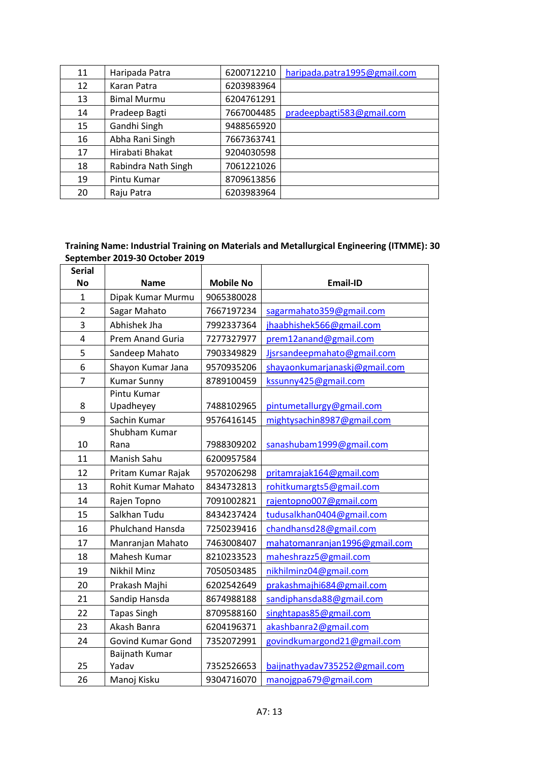| 11 | Haripada Patra      | 6200712210 | haripada.patra1995@gmail.com |
|----|---------------------|------------|------------------------------|
| 12 | Karan Patra         | 6203983964 |                              |
| 13 | <b>Bimal Murmu</b>  | 6204761291 |                              |
| 14 | Pradeep Bagti       | 7667004485 | pradeepbagti583@gmail.com    |
| 15 | Gandhi Singh        | 9488565920 |                              |
| 16 | Abha Rani Singh     | 7667363741 |                              |
| 17 | Hirabati Bhakat     | 9204030598 |                              |
| 18 | Rabindra Nath Singh | 7061221026 |                              |
| 19 | Pintu Kumar         | 8709613856 |                              |
| 20 | Raju Patra          | 6203983964 |                              |

#### **Training Name: Industrial Training on Materials and Metallurgical Engineering (ITMME): 30 September 2019-30 October 2019**

| <b>Serial</b>           |                          |                  |                               |
|-------------------------|--------------------------|------------------|-------------------------------|
| <b>No</b>               | <b>Name</b>              | <b>Mobile No</b> | <b>Email-ID</b>               |
| $\mathbf{1}$            | Dipak Kumar Murmu        | 9065380028       |                               |
| $\overline{2}$          | Sagar Mahato             | 7667197234       | sagarmahato359@gmail.com      |
| 3                       | Abhishek Jha             | 7992337364       | jhaabhishek566@gmail.com      |
| $\overline{\mathbf{4}}$ | <b>Prem Anand Guria</b>  | 7277327977       | prem12anand@gmail.com         |
| 5                       | Sandeep Mahato           | 7903349829       | Jjsrsandeepmahato@gmail.com   |
| 6                       | Shayon Kumar Jana        | 9570935206       | shayaonkumarjanaskj@gmail.com |
| $\overline{7}$          | <b>Kumar Sunny</b>       | 8789100459       | kssunny425@gmail.com          |
|                         | Pintu Kumar              |                  |                               |
| 8                       | Upadheyey                | 7488102965       | pintumetallurgy@gmail.com     |
| 9                       | Sachin Kumar             | 9576416145       | mightysachin8987@gmail.com    |
|                         | Shubham Kumar            |                  |                               |
| 10                      | Rana                     | 7988309202       | sanashubam1999@gmail.com      |
| 11                      | Manish Sahu              | 6200957584       |                               |
| 12                      | Pritam Kumar Rajak       | 9570206298       | pritamrajak164@gmail.com      |
| 13                      | Rohit Kumar Mahato       | 8434732813       | rohitkumargts5@gmail.com      |
| 14                      | Rajen Topno              | 7091002821       | rajentopno007@gmail.com       |
| 15                      | Salkhan Tudu             | 8434237424       | tudusalkhan0404@gmail.com     |
| 16                      | Phulchand Hansda         | 7250239416       | chandhansd28@gmail.com        |
| 17                      | Manranjan Mahato         | 7463008407       | mahatomanranjan1996@gmail.com |
| 18                      | Mahesh Kumar             | 8210233523       | maheshrazz5@gmail.com         |
| 19                      | Nikhil Minz              | 7050503485       | nikhilminz04@gmail.com        |
| 20                      | Prakash Majhi            | 6202542649       | prakashmajhi684@gmail.com     |
| 21                      | Sandip Hansda            | 8674988188       | sandiphansda88@gmail.com      |
| 22                      | <b>Tapas Singh</b>       | 8709588160       | singhtapas85@gmail.com        |
| 23                      | Akash Banra              | 6204196371       | akashbanra2@gmail.com         |
| 24                      | <b>Govind Kumar Gond</b> | 7352072991       | govindkumargond21@gmail.com   |
|                         | Baijnath Kumar           |                  |                               |
| 25                      | Yadav                    | 7352526653       | baijnathyadav735252@gmail.com |
| 26                      | Manoj Kisku              | 9304716070       | manojgpa679@gmail.com         |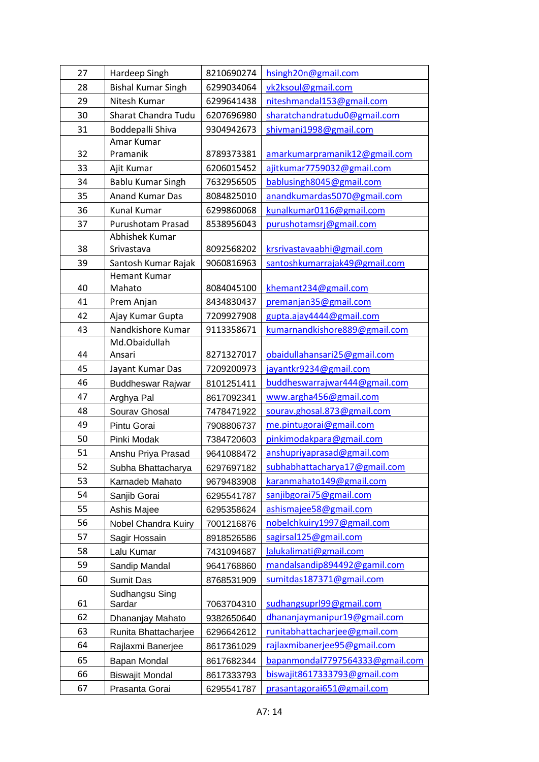| 27 | Hardeep Singh             | 8210690274 | hsingh20n@gmail.com             |
|----|---------------------------|------------|---------------------------------|
| 28 | <b>Bishal Kumar Singh</b> | 6299034064 | vk2ksoul@gmail.com              |
| 29 | Nitesh Kumar              | 6299641438 | niteshmandal153@gmail.com       |
| 30 | Sharat Chandra Tudu       | 6207696980 | sharatchandratudu0@gmail.com    |
| 31 | Boddepalli Shiva          | 9304942673 | shivmani1998@gmail.com          |
|    | Amar Kumar                |            |                                 |
| 32 | Pramanik                  | 8789373381 | amarkumarpramanik12@gmail.com   |
| 33 | Ajit Kumar                | 6206015452 | ajitkumar7759032@gmail.com      |
| 34 | <b>Bablu Kumar Singh</b>  | 7632956505 | bablusingh8045@gmail.com        |
| 35 | <b>Anand Kumar Das</b>    | 8084825010 | anandkumardas5070@gmail.com     |
| 36 | <b>Kunal Kumar</b>        | 6299860068 | kunalkumar0116@gmail.com        |
| 37 | Purushotam Prasad         | 8538956043 | purushotamsrj@gmail.com         |
|    | Abhishek Kumar            |            |                                 |
| 38 | Srivastava                | 8092568202 | krsrivastavaabhi@gmail.com      |
| 39 | Santosh Kumar Rajak       | 9060816963 | santoshkumarrajak49@gmail.com   |
|    | <b>Hemant Kumar</b>       |            |                                 |
| 40 | Mahato                    | 8084045100 | khemant234@gmail.com            |
| 41 | Prem Anjan                | 8434830437 | premanjan35@gmail.com           |
| 42 | Ajay Kumar Gupta          | 7209927908 | gupta.ajay4444@gmail.com        |
| 43 | Nandkishore Kumar         | 9113358671 | kumarnandkishore889@gmail.com   |
| 44 | Md.Obaidullah<br>Ansari   | 8271327017 | obaidullahansari25@gmail.com    |
| 45 | Jayant Kumar Das          | 7209200973 | jayantkr9234@gmail.com          |
| 46 |                           |            | buddheswarrajwar444@gmail.com   |
| 47 | <b>Buddheswar Rajwar</b>  | 8101251411 | www.argha456@gmail.com          |
| 48 | Arghya Pal                | 8617092341 |                                 |
| 49 | Sourav Ghosal             | 7478471922 | sourav.ghosal.873@gmail.com     |
|    | Pintu Gorai               | 7908806737 | me.pintugorai@gmail.com         |
| 50 | Pinki Modak               | 7384720603 | pinkimodakpara@gmail.com        |
| 51 | Anshu Priya Prasad        | 9641088472 | anshupriyaprasad@gmail.com      |
| 52 | Subha Bhattacharya        | 6297697182 | subhabhattacharya17@gmail.com   |
| 53 | Karnadeb Mahato           | 9679483908 | karanmahato149@gmail.com        |
| 54 | Sanjib Gorai              | 6295541787 | sanjibgorai75@gmail.com         |
| 55 | Ashis Majee               | 6295358624 | ashismajee58@gmail.com          |
| 56 | Nobel Chandra Kuiry       | 7001216876 | nobelchkuiry1997@gmail.com      |
| 57 | Sagir Hossain             | 8918526586 | sagirsal125@gmail.com           |
| 58 | Lalu Kumar                | 7431094687 | lalukalimati@gmail.com          |
| 59 | Sandip Mandal             | 9641768860 | mandalsandip894492@gamil.com    |
| 60 | Sumit Das                 | 8768531909 | sumitdas187371@gmail.com        |
| 61 | Sudhangsu Sing<br>Sardar  | 7063704310 | sudhangsuprl99@gmail.com        |
| 62 | Dhananjay Mahato          | 9382650640 | dhananjaymanipur19@gmail.com    |
| 63 | Runita Bhattacharjee      | 6296642612 | runitabhattacharjee@gmail.com   |
| 64 | Rajlaxmi Banerjee         | 8617361029 | rajlaxmibanerjee95@gmail.com    |
| 65 | Bapan Mondal              | 8617682344 | bapanmondal7797564333@gmail.com |
| 66 | <b>Biswajit Mondal</b>    | 8617333793 | biswajit8617333793@gmail.com    |
| 67 | Prasanta Gorai            | 6295541787 | prasantagorai651@gmail.com      |
|    |                           |            |                                 |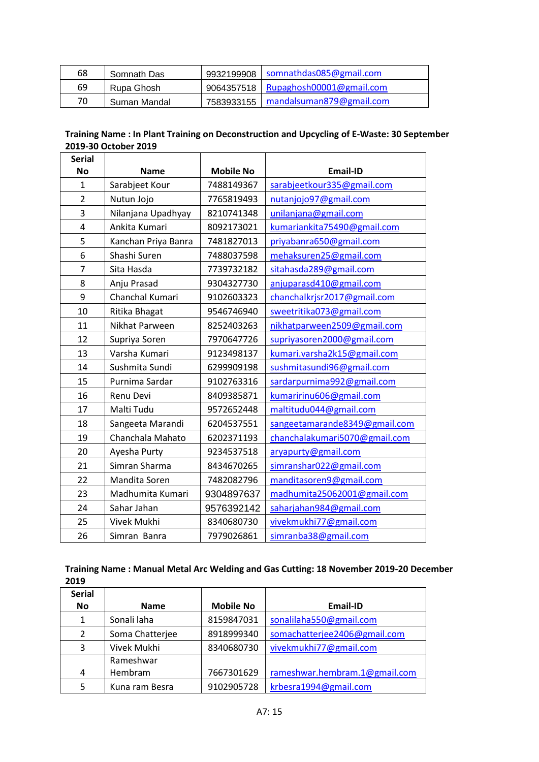| 68 | Somnath Das  | 9932199908 | somnathdas085@gmail.com               |
|----|--------------|------------|---------------------------------------|
| 69 | Rupa Ghosh   |            | 9064357518   Rupaghosh00001@gmail.com |
| 70 | Suman Mandal |            | 7583933155   mandalsuman879@gmail.com |

| Training Name: In Plant Training on Deconstruction and Upcycling of E-Waste: 30 September |
|-------------------------------------------------------------------------------------------|
| 2019-30 October 2019                                                                      |

| <b>Serial</b>  |                     |                  |                               |
|----------------|---------------------|------------------|-------------------------------|
| <b>No</b>      | <b>Name</b>         | <b>Mobile No</b> | <b>Email-ID</b>               |
| $\mathbf{1}$   | Sarabjeet Kour      | 7488149367       | sarabjeetkour335@gmail.com    |
| $\overline{2}$ | Nutun Jojo          | 7765819493       | nutanjojo97@gmail.com         |
| 3              | Nilanjana Upadhyay  | 8210741348       | unilanjana@gmail.com          |
| 4              | Ankita Kumari       | 8092173021       | kumariankita75490@gmail.com   |
| 5              | Kanchan Priya Banra | 7481827013       | priyabanra650@gmail.com       |
| 6              | Shashi Suren        | 7488037598       | mehaksuren25@gmail.com        |
| $\overline{7}$ | Sita Hasda          | 7739732182       | sitahasda289@gmail.com        |
| 8              | Anju Prasad         | 9304327730       | anjuparasd410@gmail.com       |
| 9              | Chanchal Kumari     | 9102603323       | chanchalkrjsr2017@gmail.com   |
| 10             | Ritika Bhagat       | 9546746940       | sweetritika073@gmail.com      |
| 11             | Nikhat Parween      | 8252403263       | nikhatparween2509@gmail.com   |
| 12             | Supriya Soren       | 7970647726       | supriyasoren2000@gmail.com    |
| 13             | Varsha Kumari       | 9123498137       | kumari.varsha2k15@gmail.com   |
| 14             | Sushmita Sundi      | 6299909198       | sushmitasundi96@gmail.com     |
| 15             | Purnima Sardar      | 9102763316       | sardarpurnima992@gmail.com    |
| 16             | Renu Devi           | 8409385871       | kumaririnu606@gmail.com       |
| 17             | Malti Tudu          | 9572652448       | maltitudu044@gmail.com        |
| 18             | Sangeeta Marandi    | 6204537551       | sangeetamarande8349@gmail.com |
| 19             | Chanchala Mahato    | 6202371193       | chanchalakumari5070@gmail.com |
| 20             | Ayesha Purty        | 9234537518       | aryapurty@gmail.com           |
| 21             | Simran Sharma       | 8434670265       | simranshar022@gmail.com       |
| 22             | Mandita Soren       | 7482082796       | manditasoren9@gmail.com       |
| 23             | Madhumita Kumari    | 9304897637       | madhumita25062001@gmail.com   |
| 24             | Sahar Jahan         | 9576392142       | saharjahan984@gmail.com       |
| 25             | Vivek Mukhi         | 8340680730       | vivekmukhi77@gmail.com        |
| 26             | Simran Banra        | 7979026861       | simranba38@gmail.com          |

| Training Name: Manual Metal Arc Welding and Gas Cutting: 18 November 2019-20 December |
|---------------------------------------------------------------------------------------|
| 2019                                                                                  |

| <b>Serial</b> |                 |                  |                               |
|---------------|-----------------|------------------|-------------------------------|
| <b>No</b>     | <b>Name</b>     | <b>Mobile No</b> | <b>Email-ID</b>               |
| 1             | Sonali laha     | 8159847031       | sonalilaha550@gmail.com       |
| 2             | Soma Chatterjee | 8918999340       | somachatterjee2406@gmail.com  |
| 3             | Vivek Mukhi     | 8340680730       | vivekmukhi77@gmail.com        |
|               | Rameshwar       |                  |                               |
| 4             | Hembram         | 7667301629       | rameshwar.hembram.1@gmail.com |
| 5             | Kuna ram Besra  | 9102905728       | krbesra1994@gmail.com         |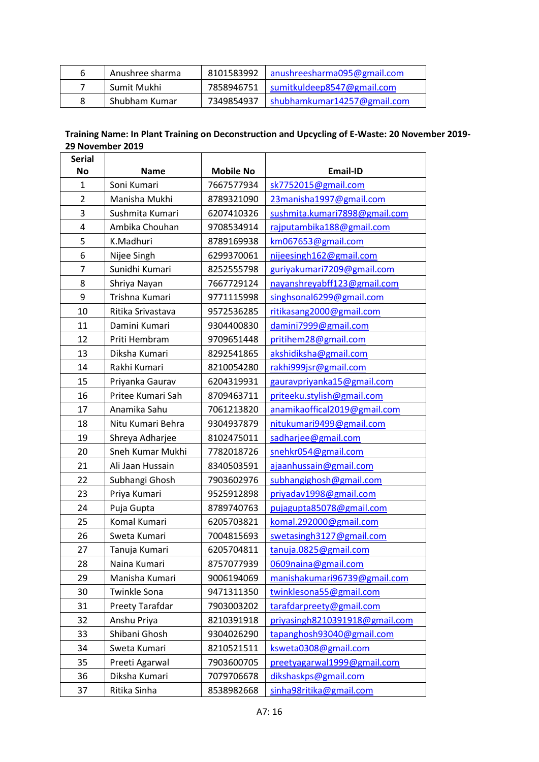| 6 | Anushree sharma | 8101583992 | anushreesharma095@gmail.com |
|---|-----------------|------------|-----------------------------|
|   | Sumit Mukhi     | 7858946751 | sumitkuldeep8547@gmail.com  |
| 8 | Shubham Kumar   | 7349854937 | shubhamkumar14257@gmail.com |

#### **Training Name: In Plant Training on Deconstruction and Upcycling of E-Waste: 20 November 2019- 29 November 2019**

| <b>Serial</b>  |                     |                  |                                |
|----------------|---------------------|------------------|--------------------------------|
| <b>No</b>      | <b>Name</b>         | <b>Mobile No</b> | <b>Email-ID</b>                |
| 1              | Soni Kumari         | 7667577934       | sk7752015@gmail.com            |
| $\overline{2}$ | Manisha Mukhi       | 8789321090       | 23manisha1997@gmail.com        |
| 3              | Sushmita Kumari     | 6207410326       | sushmita.kumari7898@gmail.com  |
| 4              | Ambika Chouhan      | 9708534914       | rajputambika188@gmail.com      |
| 5              | K.Madhuri           | 8789169938       | km067653@gmail.com             |
| 6              | Nijee Singh         | 6299370061       | nijeesingh162@gmail.com        |
| 7              | Sunidhi Kumari      | 8252555798       | guriyakumari7209@gmail.com     |
| 8              | Shriya Nayan        | 7667729124       | nayanshreyabff123@gmail.com    |
| 9              | Trishna Kumari      | 9771115998       | singhsonal6299@gmail.com       |
| 10             | Ritika Srivastava   | 9572536285       | ritikasang2000@gmail.com       |
| 11             | Damini Kumari       | 9304400830       | damini7999@gmail.com           |
| 12             | Priti Hembram       | 9709651448       | pritihem28@gmail.com           |
| 13             | Diksha Kumari       | 8292541865       | akshidiksha@gmail.com          |
| 14             | Rakhi Kumari        | 8210054280       | rakhi999jsr@gmail.com          |
| 15             | Priyanka Gaurav     | 6204319931       | gauravpriyanka15@gmail.com     |
| 16             | Pritee Kumari Sah   | 8709463711       | priteeku.stylish@gmail.com     |
| 17             | Anamika Sahu        | 7061213820       | anamikaoffical2019@gmail.com   |
| 18             | Nitu Kumari Behra   | 9304937879       | nitukumari9499@gmail.com       |
| 19             | Shreya Adharjee     | 8102475011       | sadharjee@gmail.com            |
| 20             | Sneh Kumar Mukhi    | 7782018726       | snehkr054@gmail.com            |
| 21             | Ali Jaan Hussain    | 8340503591       | ajaanhussain@gmail.com         |
| 22             | Subhangi Ghosh      | 7903602976       | subhangighosh@gmail.com        |
| 23             | Priya Kumari        | 9525912898       | priyadav1998@gmail.com         |
| 24             | Puja Gupta          | 8789740763       | pujagupta85078@gmail.com       |
| 25             | Komal Kumari        | 6205703821       | komal.292000@gmail.com         |
| 26             | Sweta Kumari        | 7004815693       | swetasingh3127@gmail.com       |
| 27             | Tanuja Kumari       | 6205704811       | tanuja.0825@gmail.com          |
| 28             | Naina Kumari        | 8757077939       | 0609naina@gmail.com            |
| 29             | Manisha Kumari      | 9006194069       | manishakumari96739@gmail.com   |
| 30             | <b>Twinkle Sona</b> | 9471311350       | twinklesona55@gmail.com        |
| 31             | Preety Tarafdar     | 7903003202       | tarafdarpreety@gmail.com       |
| 32             | Anshu Priya         | 8210391918       | priyasingh8210391918@gmail.com |
| 33             | Shibani Ghosh       | 9304026290       | tapanghosh93040@gmail.com      |
| 34             | Sweta Kumari        | 8210521511       | ksweta0308@gmail.com           |
| 35             | Preeti Agarwal      | 7903600705       | preetyagarwal1999@gmail.com    |
| 36             | Diksha Kumari       | 7079706678       | dikshaskps@gmail.com           |
| 37             | Ritika Sinha        | 8538982668       | sinha98ritika@gmail.com        |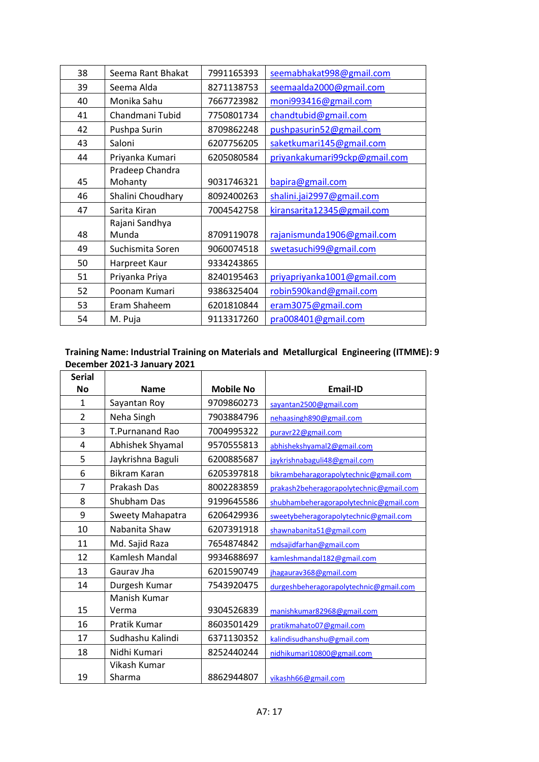| 38 | Seema Rant Bhakat       | 7991165393 | seemabhakat998@gmail.com      |
|----|-------------------------|------------|-------------------------------|
| 39 | Seema Alda              | 8271138753 | seemaalda2000@gmail.com       |
| 40 | Monika Sahu             | 7667723982 | moni993416@gmail.com          |
| 41 | Chandmani Tubid         | 7750801734 | chandtubid@gmail.com          |
| 42 | Pushpa Surin            | 8709862248 | pushpasurin52@gmail.com       |
| 43 | Saloni                  | 6207756205 | saketkumari145@gmail.com      |
| 44 | Priyanka Kumari         | 6205080584 | priyankakumari99ckp@gmail.com |
|    | Pradeep Chandra         |            |                               |
| 45 | Mohanty                 | 9031746321 | bapira@gmail.com              |
| 46 | Shalini Choudhary       | 8092400263 | shalini.jai2997@gmail.com     |
| 47 | Sarita Kiran            | 7004542758 | kiransarita12345@gmail.com    |
| 48 | Rajani Sandhya<br>Munda | 8709119078 | rajanismunda1906@gmail.com    |
| 49 | Suchismita Soren        | 9060074518 | swetasuchi99@gmail.com        |
| 50 | Harpreet Kaur           | 9334243865 |                               |
| 51 | Priyanka Priya          | 8240195463 | priyapriyanka1001@gmail.com   |
| 52 | Poonam Kumari           | 9386325404 | robin590kand@gmail.com        |
| 53 | Eram Shaheem            | 6201810844 | eram3075@gmail.com            |
| 54 | M. Puja                 | 9113317260 | pra008401@gmail.com           |

#### **Training Name: Industrial Training on Materials and Metallurgical Engineering (ITMME): 9 December 2021-3 January 2021**

| <b>Serial</b>  |                        |                  |                                         |
|----------------|------------------------|------------------|-----------------------------------------|
| <b>No</b>      | <b>Name</b>            | <b>Mobile No</b> | <b>Email-ID</b>                         |
| $\mathbf{1}$   | Sayantan Roy           | 9709860273       | sayantan2500@gmail.com                  |
| $\overline{2}$ | Neha Singh             | 7903884796       | nehaasingh890@gmail.com                 |
| 3              | <b>T.Purnanand Rao</b> | 7004995322       | puravr22@gmail.com                      |
| 4              | Abhishek Shyamal       | 9570555813       | abhishekshyamal2@gmail.com              |
| 5              | Jaykrishna Baguli      | 6200885687       | jaykrishnabaguli48@gmail.com            |
| 6              | <b>Bikram Karan</b>    | 6205397818       | bikrambeharagorapolytechnic@gmail.com   |
| 7              | Prakash Das            | 8002283859       | prakash2beheragorapolytechnic@gmail.com |
| 8              | Shubham Das            | 9199645586       | shubhambeheragorapolytechnic@gmail.com  |
| 9              | Sweety Mahapatra       | 6206429936       | sweetybeheragorapolytechnic@gmail.com   |
| 10             | Nabanita Shaw          | 6207391918       | shawnabanita51@gmail.com                |
| 11             | Md. Sajid Raza         | 7654874842       | mdsajidfarhan@gmail.com                 |
| 12             | Kamlesh Mandal         | 9934688697       | kamleshmandal182@gmail.com              |
| 13             | Gaurav Jha             | 6201590749       | jhagaurav368@gmail.com                  |
| 14             | Durgesh Kumar          | 7543920475       | durgeshbeheragorapolytechnic@gmail.com  |
|                | Manish Kumar           |                  |                                         |
| 15             | Verma                  | 9304526839       | manishkumar82968@gmail.com              |
| 16             | Pratik Kumar           | 8603501429       | pratikmahato07@gmail.com                |
| 17             | Sudhashu Kalindi       | 6371130352       | kalindisudhanshu@gmail.com              |
| 18             | Nidhi Kumari           | 8252440244       | nidhikumari10800@gmail.com              |
|                | Vikash Kumar           |                  |                                         |
| 19             | Sharma                 | 8862944807       | vikashh66@gmail.com                     |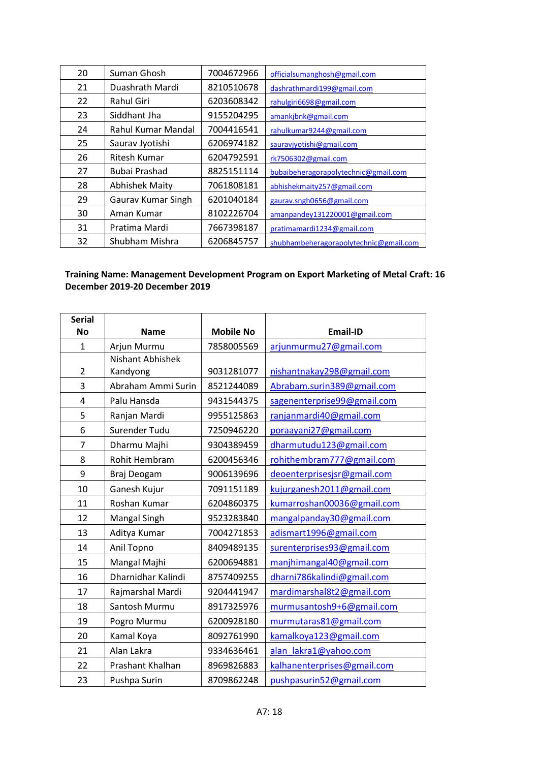| 20 | Suman Ghosh           | 7004672966 | officialsumanghosh@gmail.com           |
|----|-----------------------|------------|----------------------------------------|
| 21 | Duashrath Mardi       | 8210510678 | dashrathmardi199@gmail.com             |
| 22 | Rahul Giri            | 6203608342 | rahulgiri6698@gmail.com                |
| 23 | Siddhant Jha          | 9155204295 | amankjbnk@gmail.com                    |
| 24 | Rahul Kumar Mandal    | 7004416541 | rahulkumar9244@gmail.com               |
| 25 | Saurav Jyotishi       | 6206974182 | sauravjyotishi@gmail.com               |
| 26 | <b>Ritesh Kumar</b>   | 6204792591 | rk7506302@gmail.com                    |
| 27 | Bubai Prashad         | 8825151114 | bubaibeheragorapolytechnic@gmail.com   |
| 28 | <b>Abhishek Maity</b> | 7061808181 | abhishekmaity257@gmail.com             |
| 29 | Gaurav Kumar Singh    | 6201040184 | gaurav.sngh0656@gmail.com              |
| 30 | Aman Kumar            | 8102226704 | amanpandey131220001@gmail.com          |
| 31 | Pratima Mardi         | 7667398187 | pratimamardi1234@gmail.com             |
| 32 | Shubham Mishra        | 6206845757 | shubhambeheragorapolytechnic@gmail.com |

#### **Training Name: Management Development Program on Export Marketing of Metal Craft: 16 December 2019-20 December 2019**

| <b>Serial</b>  |                    |                  |                             |
|----------------|--------------------|------------------|-----------------------------|
| <b>No</b>      | <b>Name</b>        | <b>Mobile No</b> | <b>Email-ID</b>             |
| $\mathbf{1}$   | Arjun Murmu        | 7858005569       | arjunmurmu27@gmail.com      |
|                | Nishant Abhishek   |                  |                             |
| $\overline{2}$ | Kandyong           | 9031281077       | nishantnakay298@gmail.com   |
| 3              | Abraham Ammi Surin | 8521244089       | Abrabam.surin389@gmail.com  |
| 4              | Palu Hansda        | 9431544375       | sagenenterprise99@gmail.com |
| 5              | Ranjan Mardi       | 9955125863       | ranjanmardi40@gmail.com     |
| 6              | Surender Tudu      | 7250946220       | poraayani27@gmail.com       |
| 7              | Dharmu Majhi       | 9304389459       | dharmutudu123@gmail.com     |
| 8              | Rohit Hembram      | 6200456346       | rohithembram777@gmail.com   |
| 9              | Braj Deogam        | 9006139696       | deoenterprisesjsr@gmail.com |
| 10             | Ganesh Kujur       | 7091151189       | kujurganesh2011@gmail.com   |
| 11             | Roshan Kumar       | 6204860375       | kumarroshan00036@gmail.com  |
| 12             | Mangal Singh       | 9523283840       | mangalpanday30@gmail.com    |
| 13             | Aditya Kumar       | 7004271853       | adismart1996@gmail.com      |
| 14             | Anil Topno         | 8409489135       | surenterprises93@gmail.com  |
| 15             | Mangal Majhi       | 6200694881       | manjhimangal40@gmail.com    |
| 16             | Dharnidhar Kalindi | 8757409255       | dharni786kalindi@gmail.com  |
| 17             | Rajmarshal Mardi   | 9204441947       | mardimarshal8t2@gmail.com   |
| 18             | Santosh Murmu      | 8917325976       | murmusantosh9+6@gmail.com   |
| 19             | Pogro Murmu        | 6200928180       | murmutaras81@gmail.com      |
| 20             | Kamal Koya         | 8092761990       | kamalkoya123@gmail.com      |
| 21             | Alan Lakra         | 9334636461       | alan lakra1@yahoo.com       |
| 22             | Prashant Khalhan   | 8969826883       | kalhanenterprises@gmail.com |
| 23             | Pushpa Surin       | 8709862248       | pushpasurin52@gmail.com     |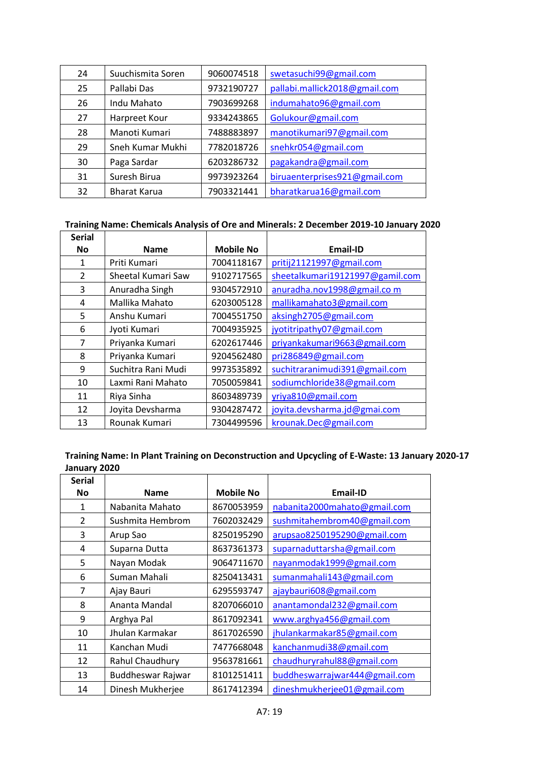| 24 | Suuchismita Soren | 9060074518 | swetasuchi99@gmail.com        |
|----|-------------------|------------|-------------------------------|
| 25 | Pallabi Das       | 9732190727 | pallabi.mallick2018@gmail.com |
| 26 | Indu Mahato       | 7903699268 | indumahato96@gmail.com        |
| 27 | Harpreet Kour     | 9334243865 | Golukour@gmail.com            |
| 28 | Manoti Kumari     | 7488883897 | manotikumari97@gmail.com      |
| 29 | Sneh Kumar Mukhi  | 7782018726 | snehkr054@gmail.com           |
| 30 | Paga Sardar       | 6203286732 | pagakandra@gmail.com          |
| 31 | Suresh Birua      | 9973923264 | biruaenterprises921@gmail.com |
| 32 | Bharat Karua      | 7903321441 | bharatkarua16@gmail.com       |

#### **Training Name: Chemicals Analysis of Ore and Minerals: 2 December 2019-10 January 2020**

| <b>Serial</b> |                    |                  |                                 |
|---------------|--------------------|------------------|---------------------------------|
| <b>No</b>     | <b>Name</b>        | <b>Mobile No</b> | <b>Email-ID</b>                 |
| 1             | Priti Kumari       | 7004118167       | pritij21121997@gmail.com        |
| 2             | Sheetal Kumari Saw | 9102717565       | sheetalkumari19121997@gamil.com |
| 3             | Anuradha Singh     | 9304572910       | anuradha.nov1998@gmail.com      |
| 4             | Mallika Mahato     | 6203005128       | mallikamahato3@gmail.com        |
| 5             | Anshu Kumari       | 7004551750       | aksingh2705@gmail.com           |
| 6             | Jyoti Kumari       | 7004935925       | jyotitripathy07@gmail.com       |
| 7             | Priyanka Kumari    | 6202617446       | priyankakumari9663@gmail.com    |
| 8             | Priyanka Kumari    | 9204562480       | pri286849@gmail.com             |
| 9             | Suchitra Rani Mudi | 9973535892       | suchitraranimudi391@gmail.com   |
| 10            | Laxmi Rani Mahato  | 7050059841       | sodiumchloride38@gmail.com      |
| 11            | Riya Sinha         | 8603489739       | yriya810@gmail.com              |
| 12            | Joyita Devsharma   | 9304287472       | joyita.devsharma.jd@gmai.com    |
| 13            | Rounak Kumari      | 7304499596       | krounak.Dec@gmail.com           |

#### **Training Name: In Plant Training on Deconstruction and Upcycling of E-Waste: 13 January 2020-17 January 2020**

| <b>Serial</b> |                   |                  |                               |
|---------------|-------------------|------------------|-------------------------------|
| <b>No</b>     | <b>Name</b>       | <b>Mobile No</b> | <b>Email-ID</b>               |
| 1             | Nabanita Mahato   | 8670053959       | nabanita2000mahato@gmail.com  |
| 2             | Sushmita Hembrom  | 7602032429       | sushmitahembrom40@gmail.com   |
| 3             | Arup Sao          | 8250195290       | arupsao8250195290@gmail.com   |
| 4             | Suparna Dutta     | 8637361373       | suparnaduttarsha@gmail.com    |
| 5             | Nayan Modak       | 9064711670       | nayanmodak1999@gmail.com      |
| 6             | Suman Mahali      | 8250413431       | sumanmahali143@gmail.com      |
| 7             | Ajay Bauri        | 6295593747       | ajaybauri608@gmail.com        |
| 8             | Ananta Mandal     | 8207066010       | anantamondal232@gmail.com     |
| 9             | Arghya Pal        | 8617092341       | www.arghya456@gmail.com       |
| 10            | Jhulan Karmakar   | 8617026590       | jhulankarmakar85@gmail.com    |
| 11            | Kanchan Mudi      | 7477668048       | kanchanmudi38@gmail.com       |
| 12            | Rahul Chaudhury   | 9563781661       | chaudhuryrahul88@gmail.com    |
| 13            | Buddheswar Rajwar | 8101251411       | buddheswarrajwar444@gmail.com |
| 14            | Dinesh Mukherjee  | 8617412394       | dineshmukherjee01@gmail.com   |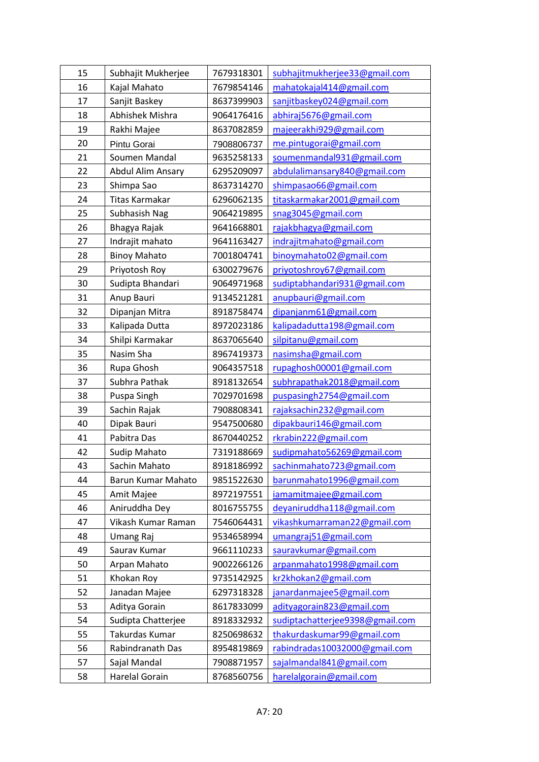| 15 | Subhajit Mukherjee  | 7679318301 | subhajitmukherjee33@gmail.com   |
|----|---------------------|------------|---------------------------------|
| 16 | Kajal Mahato        | 7679854146 | mahatokajal414@gmail.com        |
| 17 | Sanjit Baskey       | 8637399903 | sanjitbaskey024@gmail.com       |
| 18 | Abhishek Mishra     | 9064176416 | abhiraj5676@gmail.com           |
| 19 | Rakhi Majee         | 8637082859 | majeerakhi929@gmail.com         |
| 20 | Pintu Gorai         | 7908806737 | me.pintugorai@gmail.com         |
| 21 | Soumen Mandal       | 9635258133 | soumenmandal931@gmail.com       |
| 22 | Abdul Alim Ansary   | 6295209097 | abdulalimansary840@gmail.com    |
| 23 | Shimpa Sao          | 8637314270 | shimpasao66@gmail.com           |
| 24 | Titas Karmakar      | 6296062135 | titaskarmakar2001@gmail.com     |
| 25 | Subhasish Nag       | 9064219895 | snag3045@gmail.com              |
| 26 | Bhagya Rajak        | 9641668801 | rajakbhagya@gmail.com           |
| 27 | Indrajit mahato     | 9641163427 | indrajitmahato@gmail.com        |
| 28 | <b>Binoy Mahato</b> | 7001804741 | binoymahato02@gmail.com         |
| 29 | Priyotosh Roy       | 6300279676 | priyotoshroy67@gmail.com        |
| 30 | Sudipta Bhandari    | 9064971968 | sudiptabhandari931@gmail.com    |
| 31 | Anup Bauri          | 9134521281 | anupbauri@gmail.com             |
| 32 | Dipanjan Mitra      | 8918758474 | dipanjanm61@gmail.com           |
| 33 | Kalipada Dutta      | 8972023186 | kalipadadutta198@gmail.com      |
| 34 | Shilpi Karmakar     | 8637065640 | silpitanu@gmail.com             |
| 35 | Nasim Sha           | 8967419373 | nasimsha@gmail.com              |
| 36 | Rupa Ghosh          | 9064357518 | rupaghosh00001@gmail.com        |
| 37 | Subhra Pathak       | 8918132654 | subhrapathak2018@gmail.com      |
| 38 | Puspa Singh         | 7029701698 | puspasingh2754@gmail.com        |
| 39 | Sachin Rajak        | 7908808341 | rajaksachin232@gmail.com        |
| 40 | Dipak Bauri         | 9547500680 | dipakbauri146@gmail.com         |
| 41 | Pabitra Das         | 8670440252 | rkrabin222@gmail.com            |
| 42 | Sudip Mahato        | 7319188669 | sudipmahato56269@gmail.com      |
| 43 | Sachin Mahato       | 8918186992 | sachinmahato723@gmail.com       |
| 44 | Barun Kumar Mahato  | 9851522630 | barunmahato1996@gmail.com       |
| 45 | Amit Majee          | 8972197551 | iamamitmajee@gmail.com          |
| 46 | Aniruddha Dey       | 8016755755 | deyaniruddha118@gmail.com       |
| 47 | Vikash Kumar Raman  | 7546064431 | vikashkumarraman22@gmail.com    |
| 48 | Umang Raj           | 9534658994 | umangraj51@gmail.com            |
| 49 | Saurav Kumar        | 9661110233 | sauravkumar@gmail.com           |
| 50 | Arpan Mahato        | 9002266126 | arpanmahato1998@gmail.com       |
| 51 | Khokan Roy          | 9735142925 | kr2khokan2@gmail.com            |
| 52 | Janadan Majee       | 6297318328 | janardanmajee5@gmail.com        |
| 53 | Aditya Gorain       | 8617833099 | adityagorain823@gmail.com       |
| 54 | Sudipta Chatterjee  | 8918332932 | sudiptachatterjee9398@gmail.com |
| 55 | Takurdas Kumar      | 8250698632 | thakurdaskumar99@gmail.com      |
| 56 | Rabindranath Das    | 8954819869 | rabindradas10032000@gmail.com   |
| 57 | Sajal Mandal        | 7908871957 | sajalmandal841@gmail.com        |
| 58 | Harelal Gorain      | 8768560756 | harelalgorain@gmail.com         |
|    |                     |            |                                 |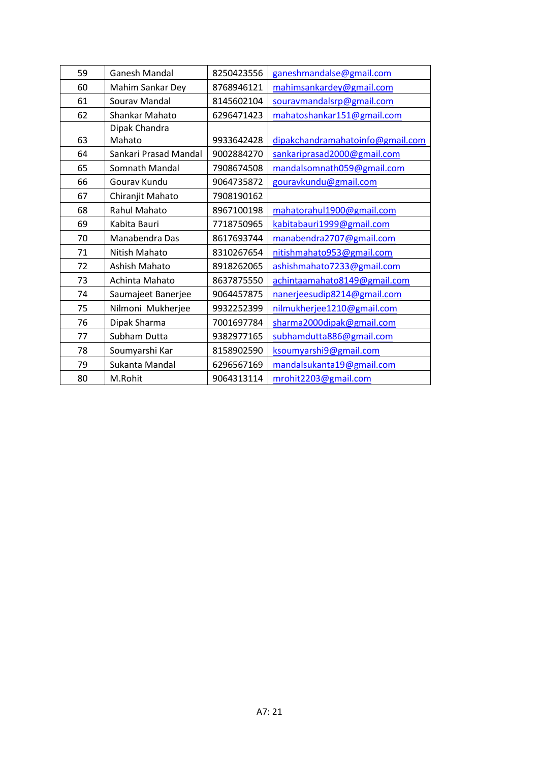| 59 | <b>Ganesh Mandal</b>  | 8250423556 | ganeshmandalse@gmail.com         |
|----|-----------------------|------------|----------------------------------|
| 60 | Mahim Sankar Dey      | 8768946121 | mahimsankardey@gmail.com         |
| 61 | Sourav Mandal         | 8145602104 | souravmandalsrp@gmail.com        |
| 62 | Shankar Mahato        | 6296471423 | mahatoshankar151@gmail.com       |
|    | Dipak Chandra         |            |                                  |
| 63 | Mahato                | 9933642428 | dipakchandramahatoinfo@gmail.com |
| 64 | Sankari Prasad Mandal | 9002884270 | sankariprasad2000@gmail.com      |
| 65 | Somnath Mandal        | 7908674508 | mandalsomnath059@gmail.com       |
| 66 | Gourav Kundu          | 9064735872 | gouravkundu@gmail.com            |
| 67 | Chiranjit Mahato      | 7908190162 |                                  |
| 68 | <b>Rahul Mahato</b>   | 8967100198 | mahatorahul1900@gmail.com        |
| 69 | Kabita Bauri          | 7718750965 | kabitabauri1999@gmail.com        |
| 70 | Manabendra Das        | 8617693744 | manabendra2707@gmail.com         |
| 71 | Nitish Mahato         | 8310267654 | nitishmahato953@gmail.com        |
| 72 | Ashish Mahato         | 8918262065 | ashishmahato7233@gmail.com       |
| 73 | Achinta Mahato        | 8637875550 | achintaamahato8149@gmail.com     |
| 74 | Saumajeet Banerjee    | 9064457875 | nanerjeesudip8214@gmail.com      |
| 75 | Nilmoni Mukherjee     | 9932252399 | nilmukherjee1210@gmail.com       |
| 76 | Dipak Sharma          | 7001697784 | sharma2000dipak@gmail.com        |
| 77 | Subham Dutta          | 9382977165 | subhamdutta886@gmail.com         |
| 78 | Soumyarshi Kar        | 8158902590 | ksoumyarshi9@gmail.com           |
| 79 | Sukanta Mandal        | 6296567169 | mandalsukanta19@gmail.com        |
| 80 | M.Rohit               | 9064313114 | mrohit2203@gmail.com             |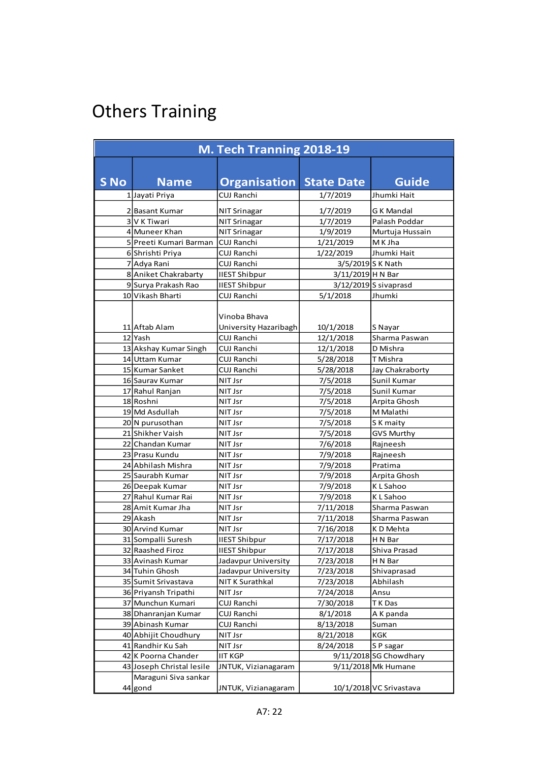# Others Training

| M. Tech Tranning 2018-19 |                           |                                       |                   |                         |  |
|--------------------------|---------------------------|---------------------------------------|-------------------|-------------------------|--|
|                          |                           |                                       |                   |                         |  |
| S No                     | <b>Name</b>               | <b>Organisation State Date</b>        |                   | <b>Guide</b>            |  |
|                          | 1 Jayati Priya            | CUJ Ranchi                            | 1/7/2019          | Jhumki Hait             |  |
|                          | 2 Basant Kumar            | <b>NIT Srinagar</b>                   | 1/7/2019          | <b>GK Mandal</b>        |  |
|                          | 3 V K Tiwari              | <b>NIT Srinagar</b>                   | 1/7/2019          | Palash Poddar           |  |
|                          | 4 Muneer Khan             | <b>NIT Srinagar</b>                   | 1/9/2019          | Murtuja Hussain         |  |
|                          | 5 Preeti Kumari Barman    | CUJ Ranchi                            | 1/21/2019         | M K Jha                 |  |
|                          | 6 Shrishti Priya          | CUJ Ranchi                            | 1/22/2019         | Jhumki Hait             |  |
|                          | 7 Adya Rani               | CUJ Ranchi                            | 3/5/2019 S K Nath |                         |  |
|                          | 8 Aniket Chakrabarty      | <b>IIEST Shibpur</b>                  | 3/11/2019 H N Bar |                         |  |
|                          | 9 Surya Prakash Rao       | <b>IIEST Shibpur</b>                  |                   | $3/12/2019$ S sivaprasd |  |
|                          | 10 Vikash Bharti          | CUJ Ranchi                            | 5/1/2018          | Jhumki                  |  |
|                          | 11 Aftab Alam             | Vinoba Bhava<br>University Hazaribagh | 10/1/2018         | S Nayar                 |  |
|                          | 12 Yash                   | CUJ Ranchi                            | 12/1/2018         | Sharma Paswan           |  |
|                          | 13 Akshay Kumar Singh     | CUJ Ranchi                            | 12/1/2018         | D Mishra                |  |
|                          | 14 Uttam Kumar            | CUJ Ranchi                            | 5/28/2018         | T Mishra                |  |
|                          | 15 Kumar Sanket           | CUJ Ranchi                            | 5/28/2018         | Jay Chakraborty         |  |
|                          | 16 Saurav Kumar           | NIT Jsr                               | 7/5/2018          | Sunil Kumar             |  |
|                          | 17 Rahul Ranjan           | NIT Jsr                               | 7/5/2018          | Sunil Kumar             |  |
|                          | 18 Roshni                 | NIT Jsr                               | 7/5/2018          | Arpita Ghosh            |  |
|                          | 19 Md Asdullah            | NIT Jsr                               | 7/5/2018          | M Malathi               |  |
|                          | 20 N purusothan           | NIT Jsr                               | 7/5/2018          | S K maity               |  |
|                          | 21 Shikher Vaish          | NIT Jsr                               | 7/5/2018          | <b>GVS Murthy</b>       |  |
|                          | 22 Chandan Kumar          | NIT Jsr                               | 7/6/2018          | Rajneesh                |  |
|                          | 23 Prasu Kundu            | NIT Jsr                               | 7/9/2018          | Rajneesh                |  |
|                          | 24 Abhilash Mishra        | NIT Jsr                               | 7/9/2018          | Pratima                 |  |
|                          | 25 Saurabh Kumar          | NIT Jsr                               | 7/9/2018          | Arpita Ghosh            |  |
|                          | 26 Deepak Kumar           | NIT Jsr                               | 7/9/2018          | K L Sahoo               |  |
|                          | 27 Rahul Kumar Rai        | NIT Jsr                               | 7/9/2018          | K L Sahoo               |  |
|                          | 28 Amit Kumar Jha         | NIT Jsr                               | 7/11/2018         | Sharma Paswan           |  |
|                          | 29 Akash                  | NIT Jsr                               | 7/11/2018         | Sharma Paswan           |  |
|                          | 30 Arvind Kumar           | NIT Jsr                               | 7/16/2018         | K D Mehta               |  |
|                          | 31 Sompalli Suresh        | <b>IIEST Shibpur</b>                  | 7/17/2018         | H N Bar                 |  |
|                          | 32 Raashed Firoz          | <b>IIEST Shibpur</b>                  | 7/17/2018         | Shiva Prasad            |  |
|                          | 33 Avinash Kumar          | Jadavpur University                   | 7/23/2018         | H N Bar                 |  |
|                          | 34 Tuhin Ghosh            | Jadavpur University                   | 7/23/2018         | Shivaprasad             |  |
|                          | 35 Sumit Srivastava       | <b>NIT K Surathkal</b>                | 7/23/2018         | Abhilash                |  |
|                          | 36 Priyansh Tripathi      | NIT Jsr                               | 7/24/2018         | Ansu                    |  |
|                          | 37 Munchun Kumari         | CUJ Ranchi                            | 7/30/2018         | T K Das                 |  |
|                          | 38 Dhanranjan Kumar       | CUJ Ranchi                            | 8/1/2018          | A K panda               |  |
|                          | 39 Abinash Kumar          | CUJ Ranchi                            | 8/13/2018         | Suman                   |  |
|                          | 40 Abhijit Choudhury      | NIT Jsr                               | 8/21/2018         | KGK                     |  |
|                          | 41 Randhir Ku Sah         | NIT Jsr                               | 8/24/2018         | SP sagar                |  |
|                          | 42 K Poorna Chander       | <b>IIT KGP</b>                        |                   | 9/11/2018 SG Chowdhary  |  |
|                          | 43 Joseph Christal lesile | JNTUK, Vizianagaram                   |                   | 9/11/2018 Mk Humane     |  |
|                          | Maraguni Siva sankar      |                                       |                   |                         |  |
|                          | 44 gond                   | JNTUK, Vizianagaram                   |                   | 10/1/2018 VC Srivastava |  |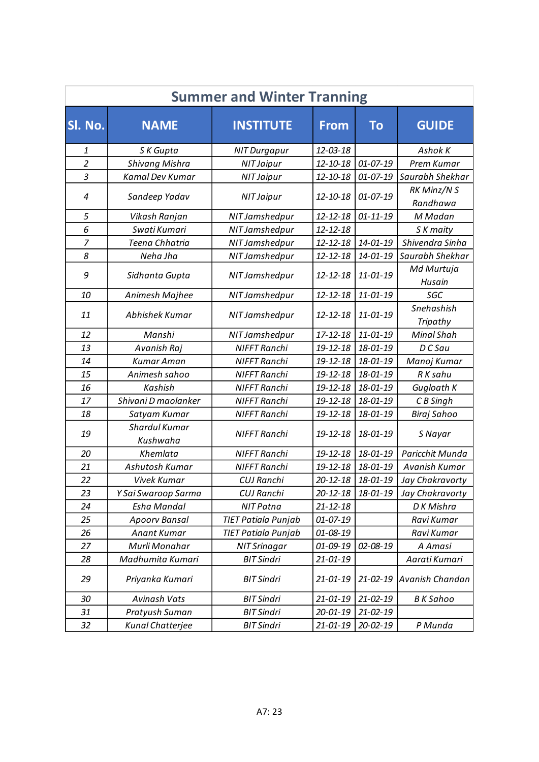| <b>Summer and Winter Tranning</b> |                           |                            |                |                |                               |  |
|-----------------------------------|---------------------------|----------------------------|----------------|----------------|-------------------------------|--|
| Sl. No.                           | <b>NAME</b>               | <b>INSTITUTE</b>           | <b>From</b>    | To             | <b>GUIDE</b>                  |  |
| 1                                 | S K Gupta                 | <b>NIT Durgapur</b>        | 12-03-18       |                | Ashok K                       |  |
| $\overline{2}$                    | <b>Shivang Mishra</b>     | <b>NIT Jaipur</b>          | $12 - 10 - 18$ | $01 - 07 - 19$ | Prem Kumar                    |  |
| 3                                 | Kamal Dev Kumar           | <b>NIT Jaipur</b>          | $12 - 10 - 18$ | $01 - 07 - 19$ | Saurabh Shekhar               |  |
| 4                                 | Sandeep Yadav             | <b>NIT Jaipur</b>          | 12-10-18       | $01 - 07 - 19$ | RK Minz/N S<br>Randhawa       |  |
| 5                                 | Vikash Ranjan             | NIT Jamshedpur             | $12 - 12 - 18$ | $01 - 11 - 19$ | M Madan                       |  |
| 6                                 | Swati Kumari              | NIT Jamshedpur             | $12 - 12 - 18$ |                | S K maity                     |  |
| 7                                 | Teena Chhatria            | NIT Jamshedpur             | $12 - 12 - 18$ | $14 - 01 - 19$ | Shivendra Sinha               |  |
| 8                                 | Neha Jha                  | NIT Jamshedpur             | $12 - 12 - 18$ | 14-01-19       | Saurabh Shekhar               |  |
| 9                                 | Sidhanta Gupta            | NIT Jamshedpur             | $12 - 12 - 18$ | $11 - 01 - 19$ | Md Murtuja<br>Husain          |  |
| 10                                | Animesh Majhee            | NIT Jamshedpur             | $12 - 12 - 18$ | $11 - 01 - 19$ | SGC                           |  |
| 11                                | Abhishek Kumar            | NIT Jamshedpur             | $12 - 12 - 18$ | $11 - 01 - 19$ | Snehashish<br><b>Tripathy</b> |  |
| 12                                | Manshi                    | NIT Jamshedpur             | 17-12-18       | $11 - 01 - 19$ | <b>Minal Shah</b>             |  |
| 13                                | Avanish Raj               | NIFFT Ranchi               | $19 - 12 - 18$ | 18-01-19       | D C Sau                       |  |
| 14                                | <b>Kumar Aman</b>         | <b>NIFFT Ranchi</b>        | 19-12-18       | 18-01-19       | Manoj Kumar                   |  |
| 15                                | Animesh sahoo             | NIFFT Ranchi               | 19-12-18       | 18-01-19       | R K sahu                      |  |
| 16                                | Kashish                   | <b>NIFFT Ranchi</b>        | 19-12-18       | 18-01-19       | Gugloath K                    |  |
| 17                                | Shivani D maolanker       | <b>NIFFT Ranchi</b>        | 19-12-18       | 18-01-19       | C B Singh                     |  |
| 18                                | Satyam Kumar              | NIFFT Ranchi               | 19-12-18       | 18-01-19       | <b>Biraj Sahoo</b>            |  |
| 19                                | Shardul Kumar<br>Kushwaha | <b>NIFFT Ranchi</b>        | 19-12-18       | 18-01-19       | S Nayar                       |  |
| 20                                | Khemlata                  | <b>NIFFT Ranchi</b>        | 19-12-18       | 18-01-19       | Paricchit Munda               |  |
| 21                                | Ashutosh Kumar            | <b>NIFFT Ranchi</b>        | 19-12-18       | 18-01-19       | Avanish Kumar                 |  |
| 22                                | Vivek Kumar               | <b>CUJ Ranchi</b>          | $20 - 12 - 18$ | 18-01-19       | Jay Chakravorty               |  |
| 23                                | Y Sai Swaroop Sarma       | <b>CUJ Ranchi</b>          | 20-12-18       | 18-01-19       | Jay Chakravorty               |  |
| 24                                | Esha Mandal               | NIT Patna                  | $21 - 12 - 18$ |                | D K Mishra                    |  |
| 25                                | <b>Apoorv Bansal</b>      | <b>TIET Patiala Punjab</b> | $01 - 07 - 19$ |                | Ravi Kumar                    |  |
| 26                                | Anant Kumar               | <b>TIET Patiala Punjab</b> | $01 - 08 - 19$ |                | Ravi Kumar                    |  |
| 27                                | Murli Monahar             | <b>NIT Srinagar</b>        | $01 - 09 - 19$ | 02-08-19       | A Amasi                       |  |
| 28                                | Madhumita Kumari          | <b>BIT Sindri</b>          | $21 - 01 - 19$ |                | Aarati Kumari                 |  |
| 29                                | Priyanka Kumari           | <b>BIT Sindri</b>          | $21 - 01 - 19$ | $21 - 02 - 19$ | Avanish Chandan               |  |
| 30                                | Avinash Vats              | <b>BIT Sindri</b>          | $21 - 01 - 19$ | $21 - 02 - 19$ | <b>BK</b> Sahoo               |  |
| 31                                | Pratyush Suman            | <b>BIT Sindri</b>          | 20-01-19       | $21 - 02 - 19$ |                               |  |
| 32                                | Kunal Chatterjee          | <b>BIT Sindri</b>          | $21 - 01 - 19$ | 20-02-19       | P Munda                       |  |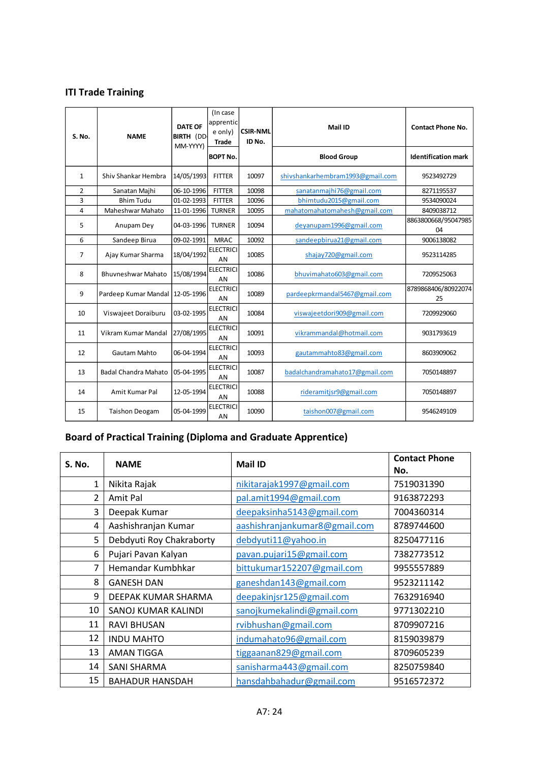### **ITI Trade Training**

| <b>S. No.</b>  | <b>NAME</b>                 | <b>DATE OF</b><br><b>BIRTH (DD</b><br>MM-YYYY) | (In case<br>apprentic<br>e only)<br><b>Trade</b> | <b>CSIR-NML</b><br>ID No. | Mail ID                          | <b>Contact Phone No.</b>   |
|----------------|-----------------------------|------------------------------------------------|--------------------------------------------------|---------------------------|----------------------------------|----------------------------|
|                |                             |                                                | <b>BOPT No.</b>                                  |                           | <b>Blood Group</b>               | <b>Identification mark</b> |
| $\mathbf{1}$   | Shiv Shankar Hembra         | 14/05/1993                                     | <b>FITTER</b>                                    | 10097                     | shivshankarhembram1993@gmail.com | 9523492729                 |
| $\overline{2}$ | Sanatan Majhi               | 06-10-1996                                     | <b>FITTER</b>                                    | 10098                     | sanatanmajhi76@gmail.com         | 8271195537                 |
| 3              | <b>Bhim Tudu</b>            | 01-02-1993                                     | <b>FITTER</b>                                    | 10096                     | bhimtudu2015@gmail.com           | 9534090024                 |
| 4              | Maheshwar Mahato            | 11-01-1996                                     | <b>TURNER</b>                                    | 10095                     | mahatomahatomahesh@gmail.com     | 8409038712                 |
| 5              | Anupam Dev                  | 04-03-1996                                     | <b>TURNER</b>                                    | 10094                     | deyanupam1996@gmail.com          | 8863800668/95047985<br>04  |
| 6              | Sandeep Birua               | 09-02-1991                                     | <b>MRAC</b>                                      | 10092                     | sandeepbirua21@gmail.com         | 9006138082                 |
| $\overline{7}$ | Ajay Kumar Sharma           | 18/04/1992                                     | <b>ELECTRICI</b><br>AN                           | 10085                     | shajay720@gmail.com              | 9523114285                 |
| 8              | <b>Bhuvneshwar Mahato</b>   | 15/08/1994                                     | <b>ELECTRICI</b><br>AN                           | 10086                     | bhuvimahato603@gmail.com         | 7209525063                 |
| 9              | Pardeep Kumar Mandal        | 12-05-1996                                     | <b>ELECTRICI</b><br>AN                           | 10089                     | pardeepkrmandal5467@gmail.com    | 8789868406/80922074<br>25  |
| 10             | Viswajeet Doraiburu         | 03-02-1995                                     | <b>ELECTRICI</b><br>AN                           | 10084                     | viswajeetdori909@gmail.com       | 7209929060                 |
| 11             | Vikram Kumar Mandal         | 27/08/1995                                     | <b>ELECTRICI</b><br>AN                           | 10091                     | vikrammandal@hotmail.com         | 9031793619                 |
| 12             | Gautam Mahto                | 06-04-1994                                     | <b>ELECTRICI</b><br>AN                           | 10093                     | gautammahto83@gmail.com          | 8603909062                 |
| 13             | <b>Badal Chandra Mahato</b> | 05-04-1995                                     | <b>ELECTRICI</b><br>AN                           | 10087                     | badalchandramahato17@gmail.com   | 7050148897                 |
| 14             | Amit Kumar Pal              | 12-05-1994                                     | <b>ELECTRICI</b><br>AN                           | 10088                     | rideramitjsr9@gmail.com          | 7050148897                 |
| 15             | <b>Taishon Deogam</b>       | 05-04-1999                                     | <b>ELECTRICI</b><br>AN                           | 10090                     | taishon007@gmail.com             | 9546249109                 |

### **Board of Practical Training (Diploma and Graduate Apprentice)**

| <b>S. No.</b>  | <b>NAME</b>              | <b>Mail ID</b>                | <b>Contact Phone</b><br>No. |
|----------------|--------------------------|-------------------------------|-----------------------------|
| 1              | Nikita Rajak             | nikitarajak1997@gmail.com     | 7519031390                  |
| $\overline{2}$ | Amit Pal                 | pal.amit1994@gmail.com        | 9163872293                  |
| 3              | Deepak Kumar             | deepaksinha5143@gmail.com     | 7004360314                  |
| 4              | Aashishranjan Kumar      | aashishranjankumar8@gmail.com | 8789744600                  |
| 5              | Debdyuti Roy Chakraborty | debdyuti11@yahoo.in           | 8250477116                  |
| 6              | Pujari Pavan Kalyan      | pavan.pujari15@gmail.com      | 7382773512                  |
| 7              | Hemandar Kumbhkar        | bittukumar152207@gmail.com    | 9955557889                  |
| 8              | <b>GANESH DAN</b>        | ganeshdan143@gmail.com        | 9523211142                  |
| 9              | DEEPAK KUMAR SHARMA      | deepakinjsr125@gmail.com      | 7632916940                  |
| 10             | SANOJ KUMAR KALINDI      | sanojkumekalindi@gmail.com    | 9771302210                  |
| 11             | <b>RAVI BHUSAN</b>       | rvibhushan@gmail.com          | 8709907216                  |
| 12             | <b>INDU MAHTO</b>        | indumahato96@gmail.com        | 8159039879                  |
| 13             | AMAN TIGGA               | tiggaanan829@gmail.com        | 8709605239                  |
| 14             | <b>SANI SHARMA</b>       | sanisharma443@gmail.com       | 8250759840                  |
| 15             | <b>BAHADUR HANSDAH</b>   | hansdahbahadur@gmail.com      | 9516572372                  |